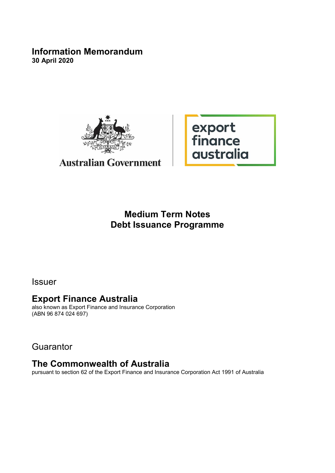## **Information Memorandum 30 April 2020**



# **Australian Government**

export<br>finance<br>australia

# **Medium Term Notes Debt Issuance Programme**

Issuer

# **Export Finance Australia**

also known as Export Finance and Insurance Corporation (ABN 96 874 024 697)

**Guarantor** 

# **The Commonwealth of Australia**

pursuant to section 62 of the Export Finance and Insurance Corporation Act 1991 of Australia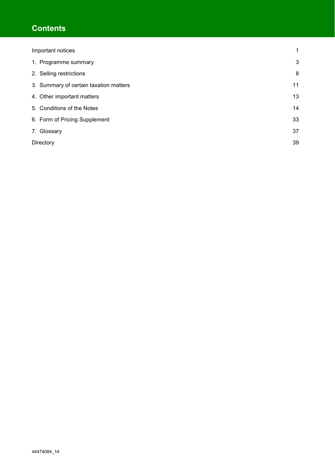# **Contents**

| Important notices                      | 1  |
|----------------------------------------|----|
| 1. Programme summary                   | 3  |
| 2. Selling restrictions                | 8  |
| 3. Summary of certain taxation matters | 11 |
| 4. Other important matters             | 13 |
| 5. Conditions of the Notes             | 14 |
| 6. Form of Pricing Supplement          | 33 |
| 7. Glossary                            | 37 |
| Directory                              | 39 |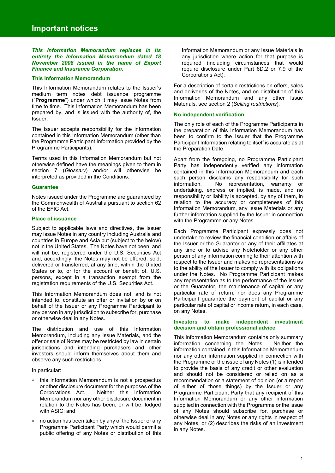*This Information Memorandum replaces in its entirety the Information Memorandum dated 18 November 2008 issued in the name of Export Finance and Insurance Corporation.*

#### **This Information Memorandum**

This Information Memorandum relates to the Issuer's medium term notes debt issuance programme ("**Programme**") under which it may issue Notes from time to time. This Information Memorandum has been prepared by, and is issued with the authority of, the Issuer.

The Issuer accepts responsibility for the information contained in this Information Memorandum (other than the Programme Participant Information provided by the Programme Participants).

Terms used in this Information Memorandum but not otherwise defined have the meanings given to them in section 7 (*Glossary*) and/or will otherwise be interpreted as provided in the Conditions.

#### **Guarantee**

Notes issued under the Programme are guaranteed by the Commonwealth of Australia pursuant to section 62 of the EFIC Act.

## **Place of issuance**

Subject to applicable laws and directives, the Issuer may issue Notes in any country including Australia and countries in Europe and Asia but (subject to the below) not in the United States. The Notes have not been, and will not be, registered under the U.S. Securities Act and, accordingly, the Notes may not be offered, sold, delivered or transferred, at any time, within the United States or to, or for the account or benefit of, U.S. persons, except in a transaction exempt from the registration requirements of the U.S. Securities Act.

This Information Memorandum does not, and is not intended to, constitute an offer or invitation by or on behalf of the Issuer or any Programme Participant to any person in any jurisdiction to subscribe for, purchase or otherwise deal in any Notes.

The distribution and use of this Information Memorandum, including any Issue Materials, and the offer or sale of Notes may be restricted by law in certain jurisdictions and intending purchasers and other investors should inform themselves about them and observe any such restrictions.

In particular:

- this Information Memorandum is not a prospectus or other disclosure document for the purposes of the Corporations Act. Neither this Information Memorandum nor any other disclosure document in relation to the Notes has been, or will be, lodged with ASIC; and
- no action has been taken by any of the Issuer or any Programme Participant Party which would permit a public offering of any Notes or distribution of this

Information Memorandum or any Issue Materials in any jurisdiction where action for that purpose is required (including circumstances that would require disclosure under Part 6D.2 or 7.9 of the Corporations Act).

For a description of certain restrictions on offers, sales and deliveries of the Notes, and on distribution of this Information Memorandum and any other Issue Materials, see section 2 (*Selling restrictions*).

#### **No independent verification**

The only role of each of the Programme Participants in the preparation of this Information Memorandum has been to confirm to the Issuer that the Programme Participant Information relating to itself is accurate as at the Preparation Date.

Apart from the foregoing, no Programme Participant Party has independently verified any information contained in this Information Memorandum and each such person disclaims any responsibility for such information. No representation, warranty or undertaking, express or implied, is made, and no responsibility or liability is accepted, by any of them, in relation to the accuracy or completeness of this Information Memorandum, any Issue Materials or any further information supplied by the Issuer in connection with the Programme or any Notes.

Each Programme Participant expressly does not undertake to review the financial condition or affairs of the Issuer or the Guarantor or any of their affiliates at any time or to advise any Noteholder or any other person of any information coming to their attention with respect to the Issuer and makes no representations as to the ability of the Issuer to comply with its obligations under the Notes. No Programme Participant makes any representation as to the performance of the Issuer or the Guarantor, the maintenance of capital or any particular rate of return, nor does any Programme Participant guarantee the payment of capital or any particular rate of capital or income return, in each case, on any Notes.

#### **Investors to make independent investment decision and obtain professional advice**

This Information Memorandum contains only summary information concerning the Notes. Neither the information contained in this Information Memorandum nor any other information supplied in connection with the Programme or the issue of any Notes (1) is intended to provide the basis of any credit or other evaluation and should not be considered or relied on as a recommendation or a statement of opinion (or a report of either of those things) by the Issuer or any Programme Participant Party that any recipient of this Information Memorandum or any other information supplied in connection with the Programme or the issue of any Notes should subscribe for, purchase or otherwise deal in any Notes or any rights in respect of any Notes, or (2) describes the risks of an investment in any Notes.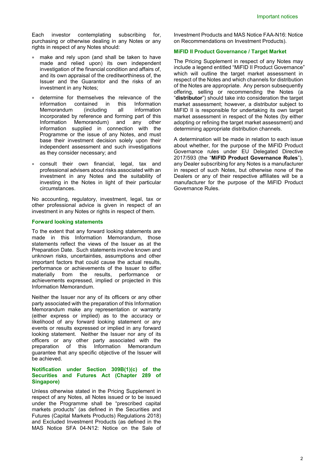Each investor contemplating subscribing for, purchasing or otherwise dealing in any Notes or any rights in respect of any Notes should:

- make and rely upon (and shall be taken to have made and relied upon) its own independent investigation of the financial condition and affairs of, and its own appraisal of the creditworthiness of, the Issuer and the Guarantor and the risks of an investment in any Notes;
- determine for themselves the relevance of the information contained in this Information Memorandum (including all information incorporated by reference and forming part of this Information Memorandum) and any other information supplied in connection with the Programme or the issue of any Notes, and must base their investment decision solely upon their independent assessment and such investigations as they consider necessary; and
- consult their own financial, legal, tax and professional advisers about risks associated with an investment in any Notes and the suitability of investing in the Notes in light of their particular circumstances.

No accounting, regulatory, investment, legal, tax or other professional advice is given in respect of an investment in any Notes or rights in respect of them.

#### **Forward looking statements**

To the extent that any forward looking statements are made in this Information Memorandum, those statements reflect the views of the Issuer as at the Preparation Date. Such statements involve known and unknown risks, uncertainties, assumptions and other important factors that could cause the actual results, performance or achievements of the Issuer to differ materially from the results, performance or achievements expressed, implied or projected in this Information Memorandum.

Neither the Issuer nor any of its officers or any other party associated with the preparation of this Information Memorandum make any representation or warranty (either express or implied) as to the accuracy or likelihood of any forward looking statement or any events or results expressed or implied in any forward looking statement. Neither the Issuer nor any of its officers or any other party associated with the preparation of this Information Memorandum guarantee that any specific objective of the Issuer will be achieved.

## **Notification under Section 309B(1)(c) of the Securities and Futures Act (Chapter 289 of Singapore)**

Unless otherwise stated in the Pricing Supplement in respect of any Notes, all Notes issued or to be issued under the Programme shall be "prescribed capital markets products" (as defined in the Securities and Futures (Capital Markets Products) Regulations 2018) and Excluded Investment Products (as defined in the MAS Notice SFA 04-N12: Notice on the Sale of

Investment Products and MAS Notice FAA-N16: Notice on Recommendations on Investment Products).

## **MiFID II Product Governance / Target Market**

The Pricing Supplement in respect of any Notes may include a legend entitled "MiFID II Product Governance" which will outline the target market assessment in respect of the Notes and which channels for distribution of the Notes are appropriate. Any person subsequently offering, selling or recommending the Notes (a "**distributor**") should take into consideration the target market assessment; however, a distributor subject to MiFID II is responsible for undertaking its own target market assessment in respect of the Notes (by either adopting or refining the target market assessment) and determining appropriate distribution channels.

A determination will be made in relation to each issue about whether, for the purpose of the MiFID Product Governance rules under EU Delegated Directive 2017/593 (the "**MiFID Product Governance Rules**"), any Dealer subscribing for any Notes is a manufacturer in respect of such Notes, but otherwise none of the Dealers or any of their respective affiliates will be a manufacturer for the purpose of the MiFID Product Governance Rules.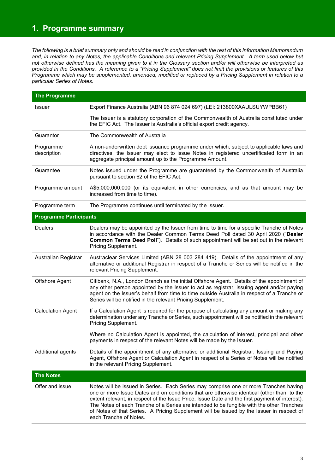## **1. Programme summary**

*The following is a brief summary only and should be read in conjunction with the rest of this Information Memorandum*  and, in relation to any Notes, the applicable Conditions and relevant Pricing Supplement. A term used below but *not otherwise defined has the meaning given to it in the Glossary section and/or will otherwise be interpreted as provided in the Conditions. A reference to a "Pricing Supplement" does not limit the provisions or features of this Programme which may be supplemented, amended, modified or replaced by a Pricing Supplement in relation to a particular Series of Notes.* 

| <b>The Programme</b>          |                                                                                                                                                                                                                                                                                                                                                                                                                                                                                                         |  |  |  |
|-------------------------------|---------------------------------------------------------------------------------------------------------------------------------------------------------------------------------------------------------------------------------------------------------------------------------------------------------------------------------------------------------------------------------------------------------------------------------------------------------------------------------------------------------|--|--|--|
| <b>Issuer</b>                 | Export Finance Australia (ABN 96 874 024 697) (LEI: 213800XAAULSUYWPBB61)                                                                                                                                                                                                                                                                                                                                                                                                                               |  |  |  |
|                               | The Issuer is a statutory corporation of the Commonwealth of Australia constituted under<br>the EFIC Act. The Issuer is Australia's official export credit agency.                                                                                                                                                                                                                                                                                                                                      |  |  |  |
| Guarantor                     | The Commonwealth of Australia                                                                                                                                                                                                                                                                                                                                                                                                                                                                           |  |  |  |
| Programme<br>description      | A non-underwritten debt issuance programme under which, subject to applicable laws and<br>directives, the Issuer may elect to issue Notes in registered uncertificated form in an<br>aggregate principal amount up to the Programme Amount.                                                                                                                                                                                                                                                             |  |  |  |
| Guarantee                     | Notes issued under the Programme are guaranteed by the Commonwealth of Australia<br>pursuant to section 62 of the EFIC Act.                                                                                                                                                                                                                                                                                                                                                                             |  |  |  |
| Programme amount              | A\$5,000,000,000 (or its equivalent in other currencies, and as that amount may be<br>increased from time to time).                                                                                                                                                                                                                                                                                                                                                                                     |  |  |  |
| Programme term                | The Programme continues until terminated by the Issuer.                                                                                                                                                                                                                                                                                                                                                                                                                                                 |  |  |  |
| <b>Programme Participants</b> |                                                                                                                                                                                                                                                                                                                                                                                                                                                                                                         |  |  |  |
| <b>Dealers</b>                | Dealers may be appointed by the Issuer from time to time for a specific Tranche of Notes<br>in accordance with the Dealer Common Terms Deed Poll dated 30 April 2020 ("Dealer<br>Common Terms Deed Poll"). Details of such appointment will be set out in the relevant<br>Pricing Supplement.                                                                                                                                                                                                           |  |  |  |
| Australian Registrar          | Austraclear Services Limited (ABN 28 003 284 419). Details of the appointment of any<br>alternative or additional Registrar in respect of a Tranche or Series will be notified in the<br>relevant Pricing Supplement.                                                                                                                                                                                                                                                                                   |  |  |  |
| Offshore Agent                | Citibank, N.A., London Branch as the initial Offshore Agent. Details of the appointment of<br>any other person appointed by the Issuer to act as registrar, issuing agent and/or paying<br>agent on the Issuer's behalf from time to time outside Australia in respect of a Tranche or<br>Series will be notified in the relevant Pricing Supplement.                                                                                                                                                   |  |  |  |
| <b>Calculation Agent</b>      | If a Calculation Agent is required for the purpose of calculating any amount or making any<br>determination under any Tranche or Series, such appointment will be notified in the relevant<br>Pricing Supplement.                                                                                                                                                                                                                                                                                       |  |  |  |
|                               | Where no Calculation Agent is appointed, the calculation of interest, principal and other<br>payments in respect of the relevant Notes will be made by the Issuer.                                                                                                                                                                                                                                                                                                                                      |  |  |  |
| Additional agents             | Details of the appointment of any alternative or additional Registrar, Issuing and Paying<br>Agent, Offshore Agent or Calculation Agent in respect of a Series of Notes will be notified<br>in the relevant Pricing Supplement.                                                                                                                                                                                                                                                                         |  |  |  |
| <b>The Notes</b>              |                                                                                                                                                                                                                                                                                                                                                                                                                                                                                                         |  |  |  |
| Offer and issue               | Notes will be issued in Series. Each Series may comprise one or more Tranches having<br>one or more Issue Dates and on conditions that are otherwise identical (other than, to the<br>extent relevant, in respect of the Issue Price, Issue Date and the first payment of interest).<br>The Notes of each Tranche of a Series are intended to be fungible with the other Tranches<br>of Notes of that Series. A Pricing Supplement will be issued by the Issuer in respect of<br>each Tranche of Notes. |  |  |  |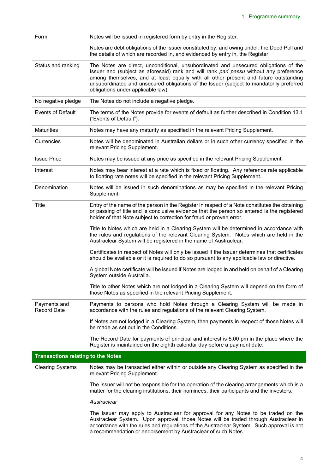| Form                                      | Notes will be issued in registered form by entry in the Register.                                                                                                                                                                                                                                                                                                                                        |
|-------------------------------------------|----------------------------------------------------------------------------------------------------------------------------------------------------------------------------------------------------------------------------------------------------------------------------------------------------------------------------------------------------------------------------------------------------------|
|                                           | Notes are debt obligations of the Issuer constituted by, and owing under, the Deed Poll and<br>the details of which are recorded in, and evidenced by entry in, the Register.                                                                                                                                                                                                                            |
| Status and ranking                        | The Notes are direct, unconditional, unsubordinated and unsecured obligations of the<br>Issuer and (subject as aforesaid) rank and will rank pari passu without any preference<br>among themselves, and at least equally with all other present and future outstanding<br>unsubordinated and unsecured obligations of the Issuer (subject to mandatorily preferred<br>obligations under applicable law). |
| No negative pledge                        | The Notes do not include a negative pledge.                                                                                                                                                                                                                                                                                                                                                              |
| <b>Events of Default</b>                  | The terms of the Notes provide for events of default as further described in Condition 13.1<br>("Events of Default").                                                                                                                                                                                                                                                                                    |
| <b>Maturities</b>                         | Notes may have any maturity as specified in the relevant Pricing Supplement.                                                                                                                                                                                                                                                                                                                             |
| Currencies                                | Notes will be denominated in Australian dollars or in such other currency specified in the<br>relevant Pricing Supplement.                                                                                                                                                                                                                                                                               |
| <b>Issue Price</b>                        | Notes may be issued at any price as specified in the relevant Pricing Supplement.                                                                                                                                                                                                                                                                                                                        |
| Interest                                  | Notes may bear interest at a rate which is fixed or floating. Any reference rate applicable<br>to floating rate notes will be specified in the relevant Pricing Supplement.                                                                                                                                                                                                                              |
| Denomination                              | Notes will be issued in such denominations as may be specified in the relevant Pricing<br>Supplement.                                                                                                                                                                                                                                                                                                    |
| <b>Title</b>                              | Entry of the name of the person in the Register in respect of a Note constitutes the obtaining<br>or passing of title and is conclusive evidence that the person so entered is the registered<br>holder of that Note subject to correction for fraud or proven error.                                                                                                                                    |
|                                           | Title to Notes which are held in a Clearing System will be determined in accordance with<br>the rules and regulations of the relevant Clearing System. Notes which are held in the<br>Austraclear System will be registered in the name of Austraclear.                                                                                                                                                  |
|                                           | Certificates in respect of Notes will only be issued if the Issuer determines that certificates<br>should be available or it is required to do so pursuant to any applicable law or directive.                                                                                                                                                                                                           |
|                                           | A global Note certificate will be issued if Notes are lodged in and held on behalf of a Clearing<br>System outside Australia.                                                                                                                                                                                                                                                                            |
|                                           | Title to other Notes which are not lodged in a Clearing System will depend on the form of<br>those Notes as specified in the relevant Pricing Supplement.                                                                                                                                                                                                                                                |
| Payments and<br><b>Record Date</b>        | Payments to persons who hold Notes through a Clearing System will be made in<br>accordance with the rules and regulations of the relevant Clearing System.                                                                                                                                                                                                                                               |
|                                           | If Notes are not lodged in a Clearing System, then payments in respect of those Notes will<br>be made as set out in the Conditions.                                                                                                                                                                                                                                                                      |
|                                           | The Record Date for payments of principal and interest is 5.00 pm in the place where the<br>Register is maintained on the eighth calendar day before a payment date.                                                                                                                                                                                                                                     |
| <b>Transactions relating to the Notes</b> |                                                                                                                                                                                                                                                                                                                                                                                                          |
| <b>Clearing Systems</b>                   | Notes may be transacted either within or outside any Clearing System as specified in the<br>relevant Pricing Supplement.                                                                                                                                                                                                                                                                                 |
|                                           | The Issuer will not be responsible for the operation of the clearing arrangements which is a<br>matter for the clearing institutions, their nominees, their participants and the investors.                                                                                                                                                                                                              |
|                                           | Austraclear                                                                                                                                                                                                                                                                                                                                                                                              |
|                                           | The Issuer may apply to Austraclear for approval for any Notes to be traded on the<br>Austraclear System. Upon approval, those Notes will be traded through Austraclear in<br>accordance with the rules and regulations of the Austraclear System. Such approval is not<br>a recommendation or endorsement by Austraclear of such Notes.                                                                 |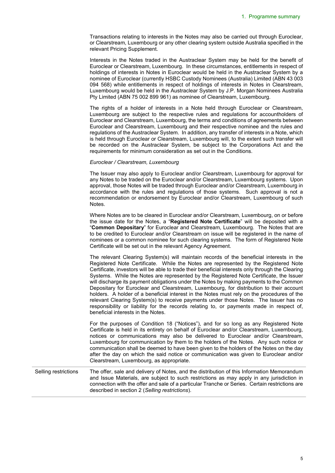Transactions relating to interests in the Notes may also be carried out through Euroclear, or Clearstream, Luxembourg or any other clearing system outside Australia specified in the relevant Pricing Supplement.

Interests in the Notes traded in the Austraclear System may be held for the benefit of Euroclear or Clearstream, Luxembourg. In these circumstances, entitlements in respect of holdings of interests in Notes in Euroclear would be held in the Austraclear System by a nominee of Euroclear (currently HSBC Custody Nominees (Australia) Limited (ABN 43 003 094 568) while entitlements in respect of holdings of interests in Notes in Clearstream, Luxembourg would be held in the Austraclear System by J.P. Morgan Nominees Australia Pty Limited (ABN 75 002 899 961) as nominee of Clearstream, Luxembourg.

The rights of a holder of interests in a Note held through Euroclear or Clearstream, Luxembourg are subject to the respective rules and regulations for accountholders of Euroclear and Clearstream, Luxembourg, the terms and conditions of agreements between Euroclear and Clearstream, Luxembourg and their respective nominee and the rules and regulations of the Austraclear System. In addition, any transfer of interests in a Note, which is held through Euroclear or Clearstream, Luxembourg will, to the extent such transfer will be recorded on the Austraclear System, be subject to the Corporations Act and the requirements for minimum consideration as set out in the Conditions.

## *Euroclear / Clearstream, Luxembourg*

The Issuer may also apply to Euroclear and/or Clearstream, Luxembourg for approval for any Notes to be traded on the Euroclear and/or Clearstream, Luxembourg systems. Upon approval, those Notes will be traded through Euroclear and/or Clearstream, Luxembourg in accordance with the rules and regulations of those systems. Such approval is not a recommendation or endorsement by Euroclear and/or Clearstream, Luxembourg of such Notes.

Where Notes are to be cleared in Euroclear and/or Clearstream, Luxembourg, on or before the issue date for the Notes, a "**Registered Note Certificate**" will be deposited with a "**Common Depositary**" for Euroclear and Clearstream, Luxembourg. The Notes that are to be credited to Euroclear and/or Clearstream on issue will be registered in the name of nominees or a common nominee for such clearing systems. The form of Registered Note Certificate will be set out in the relevant Agency Agreement.

The relevant Clearing System(s) will maintain records of the beneficial interests in the Registered Note Certificate. While the Notes are represented by the Registered Note Certificate, investors will be able to trade their beneficial interests only through the Clearing Systems. While the Notes are represented by the Registered Note Certificate, the Issuer will discharge its payment obligations under the Notes by making payments to the Common Depositary for Euroclear and Clearstream, Luxembourg, for distribution to their account holders. A holder of a beneficial interest in the Notes must rely on the procedures of the relevant Clearing System(s) to receive payments under those Notes. The Issuer has no responsibility or liability for the records relating to, or payments made in respect of, beneficial interests in the Notes.

For the purposes of Condition 18 ("Notices"), and for so long as any Registered Note Certificate is held in its entirety on behalf of Euroclear and/or Clearstream, Luxembourg, notices or communications may also be delivered to Euroclear and/or Clearstream, Luxembourg for communication by them to the holders of the Notes. Any such notice or communication shall be deemed to have been given to the holders of the Notes on the day after the day on which the said notice or communication was given to Euroclear and/or Clearstream, Luxembourg, as appropriate.

Selling restrictions The offer, sale and delivery of Notes, and the distribution of this Information Memorandum and Issue Materials, are subject to such restrictions as may apply in any jurisdiction in connection with the offer and sale of a particular Tranche or Series. Certain restrictions are described in section 2 (*Selling restrictions*).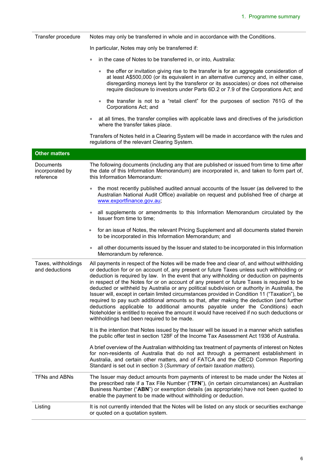| Transfer procedure                               | Notes may only be transferred in whole and in accordance with the Conditions.                                                                                                                                                                                                                                                                                                                                                                                                                                                                                                                                                                                                                                                                                                                                                                                                                                      |
|--------------------------------------------------|--------------------------------------------------------------------------------------------------------------------------------------------------------------------------------------------------------------------------------------------------------------------------------------------------------------------------------------------------------------------------------------------------------------------------------------------------------------------------------------------------------------------------------------------------------------------------------------------------------------------------------------------------------------------------------------------------------------------------------------------------------------------------------------------------------------------------------------------------------------------------------------------------------------------|
|                                                  | In particular, Notes may only be transferred if:                                                                                                                                                                                                                                                                                                                                                                                                                                                                                                                                                                                                                                                                                                                                                                                                                                                                   |
|                                                  | in the case of Notes to be transferred in, or into, Australia:                                                                                                                                                                                                                                                                                                                                                                                                                                                                                                                                                                                                                                                                                                                                                                                                                                                     |
|                                                  | the offer or invitation giving rise to the transfer is for an aggregate consideration of<br>at least A\$500,000 (or its equivalent in an alternative currency and, in either case,<br>disregarding moneys lent by the transferor or its associates) or does not otherwise<br>require disclosure to investors under Parts 6D.2 or 7.9 of the Corporations Act; and                                                                                                                                                                                                                                                                                                                                                                                                                                                                                                                                                  |
|                                                  | the transfer is not to a "retail client" for the purposes of section 761G of the<br>$\bullet$<br>Corporations Act; and                                                                                                                                                                                                                                                                                                                                                                                                                                                                                                                                                                                                                                                                                                                                                                                             |
|                                                  | at all times, the transfer complies with applicable laws and directives of the jurisdiction<br>where the transfer takes place.                                                                                                                                                                                                                                                                                                                                                                                                                                                                                                                                                                                                                                                                                                                                                                                     |
|                                                  | Transfers of Notes held in a Clearing System will be made in accordance with the rules and<br>regulations of the relevant Clearing System.                                                                                                                                                                                                                                                                                                                                                                                                                                                                                                                                                                                                                                                                                                                                                                         |
| <b>Other matters</b>                             |                                                                                                                                                                                                                                                                                                                                                                                                                                                                                                                                                                                                                                                                                                                                                                                                                                                                                                                    |
| <b>Documents</b><br>incorporated by<br>reference | The following documents (including any that are published or issued from time to time after<br>the date of this Information Memorandum) are incorporated in, and taken to form part of,<br>this Information Memorandum:                                                                                                                                                                                                                                                                                                                                                                                                                                                                                                                                                                                                                                                                                            |
|                                                  | the most recently published audited annual accounts of the Issuer (as delivered to the<br>$\bullet$<br>Australian National Audit Office) available on request and published free of charge at<br>www.exportfinance.gov.au,                                                                                                                                                                                                                                                                                                                                                                                                                                                                                                                                                                                                                                                                                         |
|                                                  | all supplements or amendments to this Information Memorandum circulated by the<br>Issuer from time to time;                                                                                                                                                                                                                                                                                                                                                                                                                                                                                                                                                                                                                                                                                                                                                                                                        |
|                                                  | for an issue of Notes, the relevant Pricing Supplement and all documents stated therein<br>$\bullet$<br>to be incorporated in this Information Memorandum; and                                                                                                                                                                                                                                                                                                                                                                                                                                                                                                                                                                                                                                                                                                                                                     |
|                                                  | all other documents issued by the Issuer and stated to be incorporated in this Information<br>Memorandum by reference.                                                                                                                                                                                                                                                                                                                                                                                                                                                                                                                                                                                                                                                                                                                                                                                             |
| Taxes, withholdings<br>and deductions            | All payments in respect of the Notes will be made free and clear of, and without withholding<br>or deduction for or on account of, any present or future Taxes unless such withholding or<br>deduction is required by law. In the event that any withholding or deduction on payments<br>in respect of the Notes for or on account of any present or future Taxes is required to be<br>deducted or withheld by Australia or any political subdivision or authority in Australia, the<br>Issuer will, except in certain limited circumstances provided in Condition 11 ("Taxation"), be<br>required to pay such additional amounts so that, after making the deduction (and further<br>deductions applicable to additional amounts payable under the Conditions) each<br>Noteholder is entitled to receive the amount it would have received if no such deductions or<br>withholdings had been required to be made. |
|                                                  | It is the intention that Notes issued by the Issuer will be issued in a manner which satisfies<br>the public offer test in section 128F of the Income Tax Assessment Act 1936 of Australia.                                                                                                                                                                                                                                                                                                                                                                                                                                                                                                                                                                                                                                                                                                                        |
|                                                  | A brief overview of the Australian withholding tax treatment of payments of interest on Notes<br>for non-residents of Australia that do not act through a permanent establishment in<br>Australia, and certain other matters, and of FATCA and the OECD Common Reporting<br>Standard is set out in section 3 (Summary of certain taxation matters).                                                                                                                                                                                                                                                                                                                                                                                                                                                                                                                                                                |
| <b>TFNs and ABNs</b>                             | The Issuer may deduct amounts from payments of interest to be made under the Notes at<br>the prescribed rate if a Tax File Number ("TFN"), (in certain circumstances) an Australian<br>Business Number ("ABN") or exemption details (as appropriate) have not been quoted to<br>enable the payment to be made without withholding or deduction.                                                                                                                                                                                                                                                                                                                                                                                                                                                                                                                                                                    |
| Listing                                          | It is not currently intended that the Notes will be listed on any stock or securities exchange<br>or quoted on a quotation system.                                                                                                                                                                                                                                                                                                                                                                                                                                                                                                                                                                                                                                                                                                                                                                                 |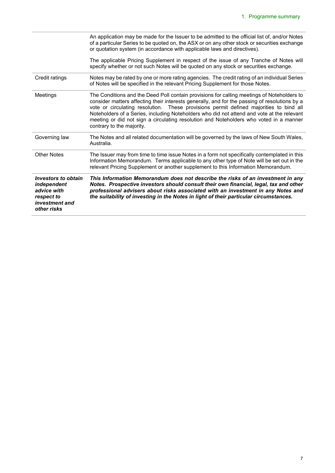|                                                                                                         | An application may be made for the Issuer to be admitted to the official list of, and/or Notes<br>of a particular Series to be quoted on, the ASX or on any other stock or securities exchange<br>or quotation system (in accordance with applicable laws and directives).                                                                                                                                                                                                                                 |
|---------------------------------------------------------------------------------------------------------|------------------------------------------------------------------------------------------------------------------------------------------------------------------------------------------------------------------------------------------------------------------------------------------------------------------------------------------------------------------------------------------------------------------------------------------------------------------------------------------------------------|
|                                                                                                         | The applicable Pricing Supplement in respect of the issue of any Tranche of Notes will<br>specify whether or not such Notes will be quoted on any stock or securities exchange.                                                                                                                                                                                                                                                                                                                            |
| Credit ratings                                                                                          | Notes may be rated by one or more rating agencies. The credit rating of an individual Series<br>of Notes will be specified in the relevant Pricing Supplement for those Notes.                                                                                                                                                                                                                                                                                                                             |
| Meetings                                                                                                | The Conditions and the Deed Poll contain provisions for calling meetings of Noteholders to<br>consider matters affecting their interests generally, and for the passing of resolutions by a<br>vote or circulating resolution. These provisions permit defined majorities to bind all<br>Noteholders of a Series, including Noteholders who did not attend and vote at the relevant<br>meeting or did not sign a circulating resolution and Noteholders who voted in a manner<br>contrary to the majority. |
| Governing law                                                                                           | The Notes and all related documentation will be governed by the laws of New South Wales,<br>Australia.                                                                                                                                                                                                                                                                                                                                                                                                     |
| <b>Other Notes</b>                                                                                      | The Issuer may from time to time issue Notes in a form not specifically contemplated in this<br>Information Memorandum. Terms applicable to any other type of Note will be set out in the<br>relevant Pricing Supplement or another supplement to this Information Memorandum.                                                                                                                                                                                                                             |
| Investors to obtain<br><i>independent</i><br>advice with<br>respect to<br>investment and<br>other risks | This Information Memorandum does not describe the risks of an investment in any<br>Notes. Prospective investors should consult their own financial, legal, tax and other<br>professional advisers about risks associated with an investment in any Notes and<br>the suitability of investing in the Notes in light of their particular circumstances.                                                                                                                                                      |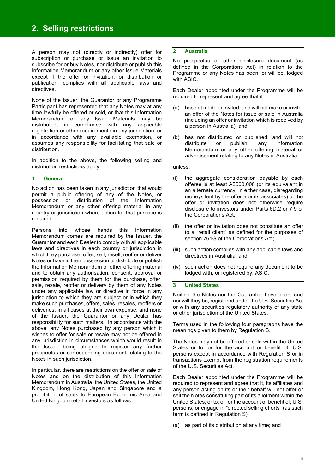A person may not (directly or indirectly) offer for subscription or purchase or issue an invitation to subscribe for or buy Notes, nor distribute or publish this Information Memorandum or any other Issue Materials except if the offer or invitation, or distribution or publication, complies with all applicable laws and directives.

None of the Issuer, the Guarantor or any Programme Participant has represented that any Notes may at any time lawfully be offered or sold, or that this Information Memorandum or any Issue Materials may be distributed, in compliance with any applicable registration or other requirements in any jurisdiction, or in accordance with any available exemption, or assumes any responsibility for facilitating that sale or distribution.

In addition to the above, the following selling and distribution restrictions apply.

## **1 General**

No action has been taken in any jurisdiction that would permit a public offering of any of the Notes, or possession or distribution of the Information Memorandum or any other offering material in any country or jurisdiction where action for that purpose is required.

Persons into whose hands this Information Memorandum comes are required by the Issuer, the Guarantor and each Dealer to comply with all applicable laws and directives in each country or jurisdiction in which they purchase, offer, sell, resell, reoffer or deliver Notes or have in their possession or distribute or publish the Information Memorandum or other offering material and to obtain any authorisation, consent, approval or permission required by them for the purchase, offer, sale, resale, reoffer or delivery by them of any Notes under any applicable law or directive in force in any jurisdiction to which they are subject or in which they make such purchases, offers, sales, resales, reoffers or deliveries, in all cases at their own expense, and none of the Issuer, the Guarantor or any Dealer has responsibility for such matters. In accordance with the above, any Notes purchased by any person which it wishes to offer for sale or resale may not be offered in any jurisdiction in circumstances which would result in the Issuer being obliged to register any further prospectus or corresponding document relating to the Notes in such jurisdiction.

In particular, there are restrictions on the offer or sale of Notes and on the distribution of this Information Memorandum in Australia, the United States, the United Kingdom, Hong Kong, Japan and Singapore and a prohibition of sales to European Economic Area and United Kingdom retail investors as follows.

#### **2 Australia**

No prospectus or other disclosure document (as defined in the Corporations Act) in relation to the Programme or any Notes has been, or will be, lodged with ASIC.

Each Dealer appointed under the Programme will be required to represent and agree that it:

- (a) has not made or invited, and will not make or invite, an offer of the Notes for issue or sale in Australia (including an offer or invitation which is received by a person in Australia); and
- (b) has not distributed or published, and will not distribute or publish, any Information Memorandum or any other offering material or advertisement relating to any Notes in Australia,

#### unless:

- (i) the aggregate consideration payable by each offeree is at least A\$500,000 (or its equivalent in an alternate currency, in either case, disregarding moneys lent by the offeror or its associates) or the offer or invitation does not otherwise require disclosure to investors under Parts 6D.2 or 7.9 of the Corporations Act;
- (ii) the offer or invitation does not constitute an offer to a "retail client" as defined for the purposes of section 761G of the Corporations Act;
- (iii) such action complies with any applicable laws and directives in Australia; and
- (iv) such action does not require any document to be lodged with, or registered by, ASIC.

#### **3 United States**

Neither the Notes nor the Guarantee have been, and nor will they be, registered under the U.S. Securities Act or with any securities regulatory authority of any state or other jurisdiction of the United States.

Terms used in the following four paragraphs have the meanings given to them by Regulation S.

The Notes may not be offered or sold within the United States or to, or for the account or benefit of, U.S. persons except in accordance with Regulation S or in transactions exempt from the registration requirements of the U.S. Securities Act.

Each Dealer appointed under the Programme will be required to represent and agree that it, its affiliates and any person acting on its or their behalf will not offer or sell the Notes constituting part of its allotment within the United States, or to, or for the account or benefit of, U.S. persons, or engage in "directed selling efforts" (as such term is defined in Regulation S):

(a) as part of its distribution at any time; and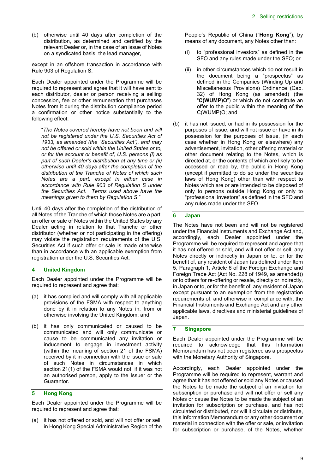(b) otherwise until 40 days after completion of the distribution, as determined and certified by the relevant Dealer or, in the case of an issue of Notes on a syndicated basis, the lead manager,

except in an offshore transaction in accordance with Rule 903 of Regulation S.

Each Dealer appointed under the Programme will be required to represent and agree that it will have sent to each distributor, dealer or person receiving a selling concession, fee or other remuneration that purchases Notes from it during the distribution compliance period a confirmation or other notice substantially to the following effect:

"*The Notes covered hereby have not been and will not be registered under the U.S. Securities Act of 1933, as amended (the "Securities Act"), and may not be offered or sold within the United States or to, or for the account or benefit of, U.S. persons (i) as part of such Dealer's distribution at any time or (ii) otherwise until 40 days after the completion of the distribution of the Tranche of Notes of which such Notes are a part, except in either case in accordance with Rule 903 of Regulation S under the Securities Act. Terms used above have the meanings given to them by Regulation S*."

Until 40 days after the completion of the distribution of all Notes of the Tranche of which those Notes are a part, an offer or sale of Notes within the United States by any Dealer acting in relation to that Tranche or other distributor (whether or not participating in the offering) may violate the registration requirements of the U.S. Securities Act if such offer or sale is made otherwise than in accordance with an applicable exemption from registration under the U.S. Securities Act.

## **4 United Kingdom**

Each Dealer appointed under the Programme will be required to represent and agree that:

- (a) it has complied and will comply with all applicable provisions of the FSMA with respect to anything done by it in relation to any Notes in, from or otherwise involving the United Kingdom; and
- (b) it has only communicated or caused to be communicated and will only communicate or cause to be communicated any invitation or inducement to engage in investment activity (within the meaning of section 21 of the FSMA) received by it in connection with the issue or sale of such Notes in circumstances in which section 21(1) of the FSMA would not, if it was not an authorised person, apply to the Issuer or the Guarantor.

## **5 Hong Kong**

Each Dealer appointed under the Programme will be required to represent and agree that:

(a) it has not offered or sold, and will not offer or sell, in Hong Kong Special Administrative Region of the People's Republic of China ("**Hong Kong**"), by means of any document, any Notes other than:

- (i) to "professional investors" as defined in the SFO and any rules made under the SFO; or
- (ii) in other circumstances which do not result in the document being a "prospectus" as defined in the Companies (Winding Up and Miscellaneous Provisions) Ordinance (Cap. 32) of Hong Kong (as amended) (the "**C(WUMP)O**") or which do not constitute an offer to the public within the meaning of the C(WUMP)O; and
- (b) it has not issued, or had in its possession for the purposes of issue, and will not issue or have in its possession for the purposes of issue, (in each case whether in Hong Kong or elsewhere) any advertisement, invitation, other offering material or other document relating to the Notes, which is directed at, or the contents of which are likely to be accessed or read by, the public in Hong Kong (except if permitted to do so under the securities laws of Hong Kong) other than with respect to Notes which are or are intended to be disposed of only to persons outside Hong Kong or only to "professional investors" as defined in the SFO and any rules made under the SFO.

## **6 Japan**

The Notes have not been and will not be registered under the Financial Instruments and Exchange Act and, accordingly, each Dealer appointed under the Programme will be required to represent and agree that it has not offered or sold, and will not offer or sell, any Notes directly or indirectly in Japan or to, or for the benefit of, any resident of Japan (as defined under Item 5, Paragraph 1, Article 6 of the Foreign Exchange and Foreign Trade Act (Act No. 228 of 1949, as amended)) or to others for re-offering or resale, directly or indirectly, in Japan or to, or for the benefit of, any resident of Japan except pursuant to an exemption from the registration requirements of, and otherwise in compliance with, the Financial Instruments and Exchange Act and any other applicable laws, directives and ministerial guidelines of Japan.

#### **7 Singapore**

Each Dealer appointed under the Programme will be required to acknowledge that this Information Memorandum has not been registered as a prospectus with the Monetary Authority of Singapore.

Accordingly, each Dealer appointed under the Programme will be required to represent, warrant and agree that it has not offered or sold any Notes or caused the Notes to be made the subject of an invitation for subscription or purchase and will not offer or sell any Notes or cause the Notes to be made the subject of an invitation for subscription or purchase, and has not circulated or distributed, nor will it circulate or distribute, this Information Memorandum or any other document or material in connection with the offer or sale, or invitation for subscription or purchase, of the Notes, whether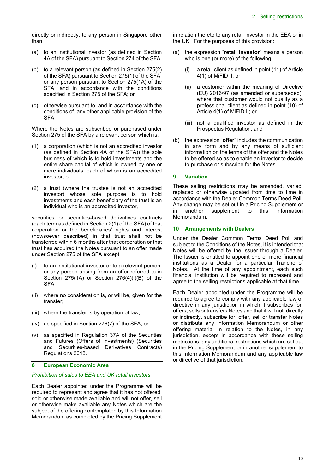directly or indirectly, to any person in Singapore other than:

- (a) to an institutional investor (as defined in Section 4A of the SFA) pursuant to Section 274 of the SFA;
- (b) to a relevant person (as defined in Section 275(2) of the SFA) pursuant to Section 275(1) of the SFA, or any person pursuant to Section 275(1A) of the SFA, and in accordance with the conditions specified in Section 275 of the SFA; or
- (c) otherwise pursuant to, and in accordance with the conditions of, any other applicable provision of the SFA.

Where the Notes are subscribed or purchased under Section 275 of the SFA by a relevant person which is:

- (1) a corporation (which is not an accredited investor (as defined in Section 4A of the SFA)) the sole business of which is to hold investments and the entire share capital of which is owned by one or more individuals, each of whom is an accredited investor; or
- (2) a trust (where the trustee is not an accredited investor) whose sole purpose is to hold investments and each beneficiary of the trust is an individual who is an accredited investor,

securities or securities-based derivatives contracts (each term as defined in Section 2(1) of the SFA) of that corporation or the beneficiaries' rights and interest (howsoever described) in that trust shall not be transferred within 6 months after that corporation or that trust has acquired the Notes pursuant to an offer made under Section 275 of the SFA except:

- (i) to an institutional investor or to a relevant person, or any person arising from an offer referred to in Section 275(1A) or Section 276(4)(i)(B) of the SFA;
- (ii) where no consideration is, or will be, given for the transfer;
- (iii) where the transfer is by operation of law;
- (iv) as specified in Section 276(7) of the SFA; or
- (v) as specified in Regulation 37A of the Securities and Futures (Offers of Investments) (Securities and Securities-based Derivatives Contracts) Regulations 2018.

## **8 European Economic Area**

#### *Prohibition of sales to EEA and UK retail investors*

Each Dealer appointed under the Programme will be required to represent and agree that it has not offered, sold or otherwise made available and will not offer, sell or otherwise make available any Notes which are the subject of the offering contemplated by this Information Memorandum as completed by the Pricing Supplement in relation thereto to any retail investor in the EEA or in the UK. For the purposes of this provision:

- (a) the expression "**retail investor**" means a person who is one (or more) of the following:
	- (i) a retail client as defined in point (11) of Article 4(1) of MiFID II; or
	- (ii) a customer within the meaning of Directive (EU) 2016/97 (as amended or superseded), where that customer would not qualify as a professional client as defined in point (10) of Article 4(1) of MiFID II; or
	- (iii) not a qualified investor as defined in the Prospectus Regulation; and
- (b) the expression "**offer**" includes the communication in any form and by any means of sufficient information on the terms of the offer and the Notes to be offered so as to enable an investor to decide to purchase or subscribe for the Notes.

### **9 Variation**

These selling restrictions may be amended, varied, replaced or otherwise updated from time to time in accordance with the Dealer Common Terms Deed Poll. Any change may be set out in a Pricing Supplement or in another supplement to this Information Memorandum.

#### **10 Arrangements with Dealers**

Under the Dealer Common Terms Deed Poll and subject to the Conditions of the Notes, it is intended that Notes will be offered by the Issuer through a Dealer. The Issuer is entitled to appoint one or more financial institutions as a Dealer for a particular Tranche of Notes. At the time of any appointment, each such financial institution will be required to represent and agree to the selling restrictions applicable at that time.

Each Dealer appointed under the Programme will be required to agree to comply with any applicable law or directive in any jurisdiction in which it subscribes for, offers, sells or transfers Notes and that it will not, directly or indirectly, subscribe for, offer, sell or transfer Notes or distribute any Information Memorandum or other offering material in relation to the Notes, in any jurisdiction, except in accordance with these selling restrictions, any additional restrictions which are set out in the Pricing Supplement or in another supplement to this Information Memorandum and any applicable law or directive of that jurisdiction.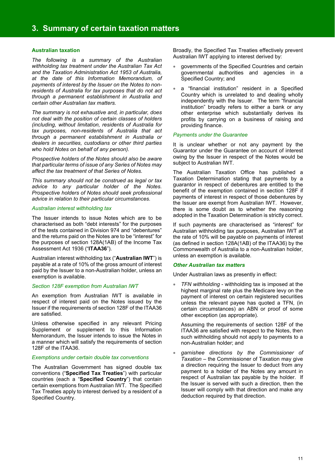### **Australian taxation**

*The following is a summary of the Australian withholding tax treatment under the Australian Tax Act and the Taxation Administration Act 1953 of Australia, at the date of this Information Memorandum, of payments of interest by the Issuer on the Notes to nonresidents of Australia for tax purposes that do not act through a permanent establishment in Australia and certain other Australian tax matters.* 

*The summary is not exhaustive and, in particular, does not deal with the position of certain classes of holders (including, without limitation, residents of Australia for tax purposes, non-residents of Australia that act through a permanent establishment in Australia or dealers in securities, custodians or other third parties who hold Notes on behalf of any person).* 

*Prospective holders of the Notes should also be aware that particular terms of issue of any Series of Notes may affect the tax treatment of that Series of Notes.* 

*This summary should not be construed as legal or tax advice to any particular holder of the Notes. Prospective holders of Notes should seek professional advice in relation to their particular circumstances.* 

#### *Australian interest withholding tax*

The Issuer intends to issue Notes which are to be characterised as both "debt interests" for the purposes of the tests contained in Division 974 and "debentures" and the returns paid on the Notes are to be "interest" for the purposes of section 128A(1AB) of the Income Tax Assessment Act 1936 ("**ITAA36**").

Australian interest withholding tax ("**Australian IWT**") is payable at a rate of 10% of the gross amount of interest paid by the Issuer to a non-Australian holder, unless an exemption is available.

#### *Section 128F exemption from Australian IWT*

An exemption from Australian IWT is available in respect of interest paid on the Notes issued by the Issuer if the requirements of section 128F of the ITAA36 are satisfied.

Unless otherwise specified in any relevant Pricing Supplement or supplement to this Information Memorandum, the Issuer intends to issue the Notes in a manner which will satisfy the requirements of section 128F of the ITAA36.

#### *Exemptions under certain double tax conventions*

The Australian Government has signed double tax conventions ("**Specified Tax Treaties**") with particular countries (each a "**Specified Country**") that contain certain exemptions from Australian IWT. The Specified Tax Treaties apply to interest derived by a resident of a Specified Country.

Broadly, the Specified Tax Treaties effectively prevent Australian IWT applying to interest derived by:

- governments of the Specified Countries and certain governmental authorities and agencies in a Specified Country; and
- a "financial institution" resident in a Specified Country which is unrelated to and dealing wholly independently with the Issuer. The term "financial institution" broadly refers to either a bank or any other enterprise which substantially derives its profits by carrying on a business of raising and providing finance.

#### *Payments under the Guarantee*

It is unclear whether or not any payment by the Guarantor under the Guarantee on account of interest owing by the Issuer in respect of the Notes would be subject to Australian IWT.

The Australian Taxation Office has published a Taxation Determination stating that payments by a guarantor in respect of debentures are entitled to the benefit of the exemption contained in section 128F if payments of interest in respect of those debentures by the Issuer are exempt from Australian IWT. However, there is some doubt as to whether the reasoning adopted in the Taxation Determination is strictly correct.

If such payments are characterised as "interest" for Australian withholding tax purposes, Australian IWT at the rate of 10% will be payable on payments of interest (as defined in section 128A(1AB) of the ITAA36) by the Commonwealth of Australia to a non-Australian holder, unless an exemption is available.

#### *Other Australian tax matters*

Under Australian laws as presently in effect:

 *TFN withholding* - withholding tax is imposed at the highest marginal rate plus the Medicare levy on the payment of interest on certain registered securities unless the relevant payee has quoted a TFN, (in certain circumstances) an ABN or proof of some other exception (as appropriate).

Assuming the requirements of section 128F of the ITAA36 are satisfied with respect to the Notes, then such withholding should not apply to payments to a non-Australian holder; and

 *garnishee directions by the Commissioner of Taxation* – the Commissioner of Taxation may give a direction requiring the Issuer to deduct from any payment to a holder of the Notes any amount in respect of Australian tax payable by the holder. If the Issuer is served with such a direction, then the Issuer will comply with that direction and make any deduction required by that direction.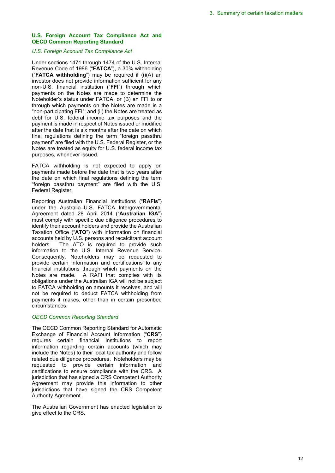## **U.S. Foreign Account Tax Compliance Act and OECD Common Reporting Standard**

#### *U.S. Foreign Account Tax Compliance Act*

Under sections 1471 through 1474 of the U.S. Internal Revenue Code of 1986 ("**FATCA**"), a 30% withholding ("**FATCA withholding**") may be required if (i)(A) an investor does not provide information sufficient for any non-U.S. financial institution ("**FFI**") through which payments on the Notes are made to determine the Noteholder's status under FATCA, or (B) an FFI to or through which payments on the Notes are made is a "non-participating FFI"; and (ii) the Notes are treated as debt for U.S. federal income tax purposes and the payment is made in respect of Notes issued or modified after the date that is six months after the date on which final regulations defining the term "foreign passthru payment" are filed with the U.S. Federal Register, or the Notes are treated as equity for U.S. federal income tax purposes, whenever issued.

FATCA withholding is not expected to apply on payments made before the date that is two years after the date on which final regulations defining the term "foreign passthru payment" are filed with the U.S. Federal Register.

Reporting Australian Financial Institutions ("**RAFIs**") under the Australia–U.S. FATCA Intergovernmental Agreement dated 28 April 2014 ("**Australian IGA**") must comply with specific due diligence procedures to identify their account holders and provide the Australian Taxation Office ("**ATO**") with information on financial accounts held by U.S. persons and recalcitrant account holders. The ATO is required to provide such information to the U.S. Internal Revenue Service. Consequently, Noteholders may be requested to provide certain information and certifications to any financial institutions through which payments on the Notes are made. A RAFI that complies with its obligations under the Australian IGA will not be subject to FATCA withholding on amounts it receives, and will not be required to deduct FATCA withholding from payments it makes, other than in certain prescribed circumstances.

## *OECD Common Reporting Standard*

The OECD Common Reporting Standard for Automatic Exchange of Financial Account Information ("**CRS**") requires certain financial institutions to report information regarding certain accounts (which may include the Notes) to their local tax authority and follow related due diligence procedures. Noteholders may be requested to provide certain information and certifications to ensure compliance with the CRS. A jurisdiction that has signed a CRS Competent Authority Agreement may provide this information to other jurisdictions that have signed the CRS Competent Authority Agreement.

The Australian Government has enacted legislation to give effect to the CRS.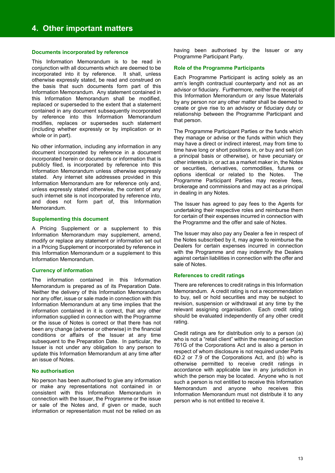## **Documents incorporated by reference**

This Information Memorandum is to be read in conjunction with all documents which are deemed to be incorporated into it by reference. It shall, unless otherwise expressly stated, be read and construed on the basis that such documents form part of this Information Memorandum. Any statement contained in this Information Memorandum shall be modified, replaced or superseded to the extent that a statement contained in any document subsequently incorporated by reference into this Information Memorandum modifies, replaces or supersedes such statement (including whether expressly or by implication or in whole or in part).

No other information, including any information in any document incorporated by reference in a document incorporated herein or documents or information that is publicly filed, is incorporated by reference into this Information Memorandum unless otherwise expressly stated. Any internet site addresses provided in this Information Memorandum are for reference only and, unless expressly stated otherwise, the content of any such internet site is not incorporated by reference into, and does not form part of, this Information Memorandum.

#### **Supplementing this document**

A Pricing Supplement or a supplement to this Information Memorandum may supplement, amend, modify or replace any statement or information set out in a Pricing Supplement or incorporated by reference in this Information Memorandum or a supplement to this Information Memorandum.

#### **Currency of information**

The information contained in this Information Memorandum is prepared as of its Preparation Date. Neither the delivery of this Information Memorandum nor any offer, issue or sale made in connection with this Information Memorandum at any time implies that the information contained in it is correct, that any other information supplied in connection with the Programme or the issue of Notes is correct or that there has not been any change (adverse or otherwise) in the financial conditions or affairs of the Issuer at any time subsequent to the Preparation Date. In particular, the Issuer is not under any obligation to any person to update this Information Memorandum at any time after an issue of Notes.

#### **No authorisation**

No person has been authorised to give any information or make any representations not contained in or consistent with this Information Memorandum in connection with the Issuer, the Programme or the issue or sale of the Notes and, if given or made, such information or representation must not be relied on as

having been authorised by the Issuer or any Programme Participant Party.

#### **Role of the Programme Participants**

Each Programme Participant is acting solely as an arm's length contractual counterparty and not as an advisor or fiduciary. Furthermore, neither the receipt of this Information Memorandum or any Issue Materials by any person nor any other matter shall be deemed to create or give rise to an advisory or fiduciary duty or relationship between the Programme Participant and that person.

The Programme Participant Parties or the funds which they manage or advise or the funds within which they may have a direct or indirect interest, may from time to time have long or short positions in, or buy and sell (on a principal basis or otherwise), or have pecuniary or other interests in, or act as a market maker in, the Notes or securities, derivatives, commodities, futures or options identical or related to the Notes. The Programme Participant Parties may receive fees, brokerage and commissions and may act as a principal in dealing in any Notes.

The Issuer has agreed to pay fees to the Agents for undertaking their respective roles and reimburse them for certain of their expenses incurred in connection with the Programme and the offer and sale of Notes.

The Issuer may also pay any Dealer a fee in respect of the Notes subscribed by it, may agree to reimburse the Dealers for certain expenses incurred in connection with the Programme and may indemnify the Dealers against certain liabilities in connection with the offer and sale of Notes.

#### **References to credit ratings**

There are references to credit ratings in this Information Memorandum. A credit rating is not a recommendation to buy, sell or hold securities and may be subject to revision, suspension or withdrawal at any time by the relevant assigning organisation. Each credit rating should be evaluated independently of any other credit rating.

Credit ratings are for distribution only to a person (a) who is not a "retail client" within the meaning of section 761G of the Corporations Act and is also a person in respect of whom disclosure is not required under Parts 6D.2 or 7.9 of the Corporations Act, and (b) who is otherwise permitted to receive credit ratings in accordance with applicable law in any jurisdiction in which the person may be located. Anyone who is not such a person is not entitled to receive this Information Memorandum and anyone who receives this Information Memorandum must not distribute it to any person who is not entitled to receive it.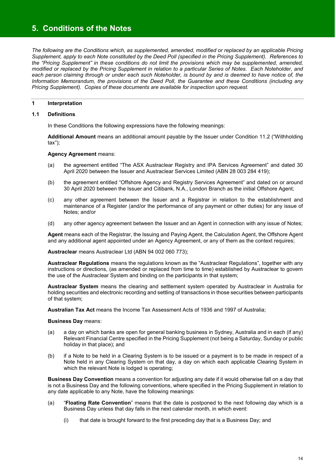## **5. Conditions of the Notes**

*The following are the Conditions which, as supplemented, amended, modified or replaced by an applicable Pricing Supplement, apply to each Note constituted by the Deed Poll (specified in the Pricing Supplement). References to the "Pricing Supplement" in these conditions do not limit the provisions which may be supplemented, amended, modified or replaced by the Pricing Supplement in relation to a particular Series of Notes. Each Noteholder, and each person claiming through or under each such Noteholder, is bound by and is deemed to have notice of, the Information Memorandum, the provisions of the Deed Poll, the Guarantee and these Conditions (including any Pricing Supplement). Copies of these documents are available for inspection upon request.* 

## **1 Interpretation**

## **1.1 Definitions**

In these Conditions the following expressions have the following meanings:

**Additional Amount** means an additional amount payable by the Issuer under Condition 11.2 ("Withholding tax");

#### **Agency Agreement** means:

- (a) the agreement entitled "The ASX Austraclear Registry and IPA Services Agreement" and dated 30 April 2020 between the Issuer and Austraclear Services Limited (ABN 28 003 284 419);
- (b) the agreement entitled "Offshore Agency and Registry Services Agreement" and dated on or around 30 April 2020 between the Issuer and Citibank, N.A., London Branch as the initial Offshore Agent;
- (c) any other agreement between the Issuer and a Registrar in relation to the establishment and maintenance of a Register (and/or the performance of any payment or other duties) for any issue of Notes; and/or
- (d) any other agency agreement between the Issuer and an Agent in connection with any issue of Notes;

**Agent** means each of the Registrar, the Issuing and Paying Agent, the Calculation Agent, the Offshore Agent and any additional agent appointed under an Agency Agreement, or any of them as the context requires;

**Austraclear** means Austraclear Ltd (ABN 94 002 060 773);

**Austraclear Regulations** means the regulations known as the "Austraclear Regulations", together with any instructions or directions, (as amended or replaced from time to time) established by Austraclear to govern the use of the Austraclear System and binding on the participants in that system;

**Austraclear System** means the clearing and settlement system operated by Austraclear in Australia for holding securities and electronic recording and settling of transactions in those securities between participants of that system;

**Australian Tax Act** means the Income Tax Assessment Acts of 1936 and 1997 of Australia;

#### **Business Day** means:

- (a) a day on which banks are open for general banking business in Sydney, Australia and in each (if any) Relevant Financial Centre specified in the Pricing Supplement (not being a Saturday, Sunday or public holiday in that place); and
- (b) if a Note to be held in a Clearing System is to be issued or a payment is to be made in respect of a Note held in any Clearing System on that day, a day on which each applicable Clearing System in which the relevant Note is lodged is operating:

**Business Day Convention** means a convention for adjusting any date if it would otherwise fall on a day that is not a Business Day and the following conventions, where specified in the Pricing Supplement in relation to any date applicable to any Note, have the following meanings:

- (a) "**Floating Rate Convention**" means that the date is postponed to the next following day which is a Business Day unless that day falls in the next calendar month, in which event:
	- (i) that date is brought forward to the first preceding day that is a Business Day; and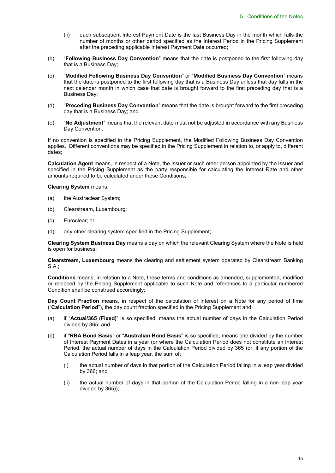- (ii) each subsequent Interest Payment Date is the last Business Day in the month which falls the number of months or other period specified as the Interest Period in the Pricing Supplement after the preceding applicable Interest Payment Date occurred;
- (b) "**Following Business Day Convention**" means that the date is postponed to the first following day that is a Business Day;
- (c) "**Modified Following Business Day Convention**" or "**Modified Business Day Convention**" means that the date is postponed to the first following day that is a Business Day unless that day falls in the next calendar month in which case that date is brought forward to the first preceding day that is a Business Day;
- (d) "**Preceding Business Day Convention**" means that the date is brought forward to the first preceding day that is a Business Day; and
- (e) "**No Adjustment**" means that the relevant date must not be adjusted in accordance with any Business Day Convention.

If no convention is specified in the Pricing Supplement, the Modified Following Business Day Convention applies. Different conventions may be specified in the Pricing Supplement in relation to, or apply to, different dates;

**Calculation Agent** means, in respect of a Note, the Issuer or such other person appointed by the Issuer and specified in the Pricing Supplement as the party responsible for calculating the Interest Rate and other amounts required to be calculated under these Conditions;

**Clearing System** means:

- (a) the Austraclear System;
- (b) Clearstream, Luxembourg;
- (c) Euroclear; or
- (d) any other clearing system specified in the Pricing Supplement;

**Clearing System Business Day** means a day on which the relevant Clearing System where the Note is held is open for business;

**Clearstream, Luxembourg** means the clearing and settlement system operated by Clearstream Banking S.A.;

**Conditions** means, in relation to a Note, these terms and conditions as amended, supplemented, modified or replaced by the Pricing Supplement applicable to such Note and references to a particular numbered Condition shall be construed accordingly;

**Day Count Fraction** means, in respect of the calculation of interest on a Note for any period of time ("**Calculation Period**"), the day count fraction specified in the Pricing Supplement and:

- (a) if "**Actual/365 (Fixed)**" is so specified, means the actual number of days in the Calculation Period divided by 365; and
- (b) if "**RBA Bond Basis**" or "**Australian Bond Basis**" is so specified, means one divided by the number of Interest Payment Dates in a year (or where the Calculation Period does not constitute an Interest Period, the actual number of days in the Calculation Period divided by 365 (or, if any portion of the Calculation Period falls in a leap year, the sum of:
	- (i) the actual number of days in that portion of the Calculation Period falling in a leap year divided by 366; and
	- (ii) the actual number of days in that portion of the Calculation Period falling in a non-leap year divided by 365));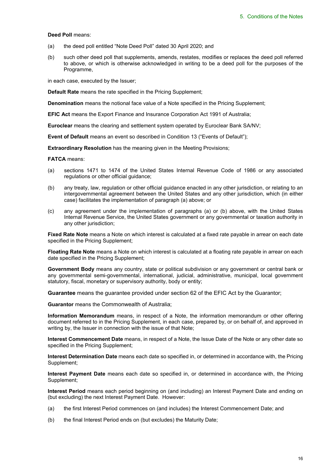#### **Deed Poll** means:

- (a) the deed poll entitled "Note Deed Poll" dated 30 April 2020; and
- (b) such other deed poll that supplements, amends, restates, modifies or replaces the deed poll referred to above, or which is otherwise acknowledged in writing to be a deed poll for the purposes of the Programme,

in each case, executed by the Issuer;

**Default Rate** means the rate specified in the Pricing Supplement;

**Denomination** means the notional face value of a Note specified in the Pricing Supplement;

**EFIC Act** means the Export Finance and Insurance Corporation Act 1991 of Australia;

**Euroclear** means the clearing and settlement system operated by Euroclear Bank SA/NV;

**Event of Default** means an event so described in Condition 13 ("Events of Default");

**Extraordinary Resolution** has the meaning given in the Meeting Provisions;

**FATCA** means:

- (a) sections 1471 to 1474 of the United States Internal Revenue Code of 1986 or any associated regulations or other official guidance;
- (b) any treaty, law, regulation or other official guidance enacted in any other jurisdiction, or relating to an intergovernmental agreement between the United States and any other jurisdiction, which (in either case) facilitates the implementation of paragraph (a) above; or
- (c) any agreement under the implementation of paragraphs (a) or (b) above, with the United States Internal Revenue Service, the United States government or any governmental or taxation authority in any other jurisdiction;

**Fixed Rate Note** means a Note on which interest is calculated at a fixed rate payable in arrear on each date specified in the Pricing Supplement;

**Floating Rate Note** means a Note on which interest is calculated at a floating rate payable in arrear on each date specified in the Pricing Supplement;

**Government Body** means any country, state or political subdivision or any government or central bank or any governmental semi-governmental, international, judicial, administrative, municipal, local government statutory, fiscal, monetary or supervisory authority, body or entity;

**Guarantee** means the guarantee provided under section 62 of the EFIC Act by the Guarantor;

**Guarantor** means the Commonwealth of Australia;

**Information Memorandum** means, in respect of a Note, the information memorandum or other offering document referred to in the Pricing Supplement, in each case, prepared by, or on behalf of, and approved in writing by, the Issuer in connection with the issue of that Note;

**Interest Commencement Date** means, in respect of a Note, the Issue Date of the Note or any other date so specified in the Pricing Supplement;

**Interest Determination Date** means each date so specified in, or determined in accordance with, the Pricing Supplement;

**Interest Payment Date** means each date so specified in, or determined in accordance with, the Pricing Supplement;

**Interest Period** means each period beginning on (and including) an Interest Payment Date and ending on (but excluding) the next Interest Payment Date. However:

- (a) the first Interest Period commences on (and includes) the Interest Commencement Date; and
- (b) the final Interest Period ends on (but excludes) the Maturity Date;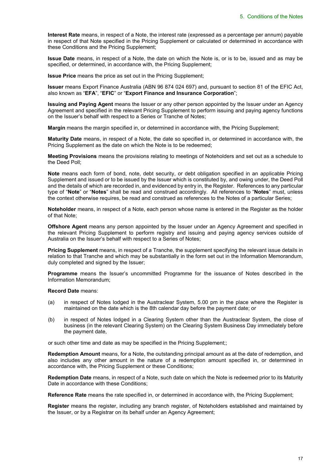**Interest Rate** means, in respect of a Note, the interest rate (expressed as a percentage per annum) payable in respect of that Note specified in the Pricing Supplement or calculated or determined in accordance with these Conditions and the Pricing Supplement;

**Issue Date** means, in respect of a Note, the date on which the Note is, or is to be, issued and as may be specified, or determined, in accordance with, the Pricing Supplement;

**Issue Price** means the price as set out in the Pricing Supplement;

**Issuer** means Export Finance Australia (ABN 96 874 024 697) and, pursuant to section 81 of the EFIC Act, also known as "**EFA**", "**EFIC**" or "**Export Finance and Insurance Corporation**";

**Issuing and Paying Agent** means the Issuer or any other person appointed by the Issuer under an Agency Agreement and specified in the relevant Pricing Supplement to perform issuing and paying agency functions on the Issuer's behalf with respect to a Series or Tranche of Notes;

**Margin** means the margin specified in, or determined in accordance with, the Pricing Supplement;

**Maturity Date** means, in respect of a Note, the date so specified in, or determined in accordance with, the Pricing Supplement as the date on which the Note is to be redeemed;

**Meeting Provisions** means the provisions relating to meetings of Noteholders and set out as a schedule to the Deed Poll;

**Note** means each form of bond, note, debt security, or debt obligation specified in an applicable Pricing Supplement and issued or to be issued by the Issuer which is constituted by, and owing under, the Deed Poll and the details of which are recorded in, and evidenced by entry in, the Register. References to any particular type of "**Note**" or "**Notes**" shall be read and construed accordingly. All references to "**Notes**" must, unless the context otherwise requires, be read and construed as references to the Notes of a particular Series;

**Noteholder** means, in respect of a Note, each person whose name is entered in the Register as the holder of that Note;

**Offshore Agent** means any person appointed by the Issuer under an Agency Agreement and specified in the relevant Pricing Supplement to perform registry and issuing and paying agency services outside of Australia on the Issuer's behalf with respect to a Series of Notes;

**Pricing Supplement** means, in respect of a Tranche, the supplement specifying the relevant issue details in relation to that Tranche and which may be substantially in the form set out in the Information Memorandum, duly completed and signed by the Issuer;

**Programme** means the Issuer's uncommitted Programme for the issuance of Notes described in the Information Memorandum;

**Record Date** means:

- (a) in respect of Notes lodged in the Austraclear System, 5.00 pm in the place where the Register is maintained on the date which is the 8th calendar day before the payment date; or
- (b) in respect of Notes lodged in a Clearing System other than the Austraclear System, the close of business (in the relevant Clearing System) on the Clearing System Business Day immediately before the payment date,

or such other time and date as may be specified in the Pricing Supplement;;

**Redemption Amount** means, for a Note, the outstanding principal amount as at the date of redemption, and also includes any other amount in the nature of a redemption amount specified in, or determined in accordance with, the Pricing Supplement or these Conditions;

**Redemption Date** means, in respect of a Note, such date on which the Note is redeemed prior to its Maturity Date in accordance with these Conditions;

**Reference Rate** means the rate specified in, or determined in accordance with, the Pricing Supplement;

**Register** means the register, including any branch register, of Noteholders established and maintained by the Issuer, or by a Registrar on its behalf under an Agency Agreement;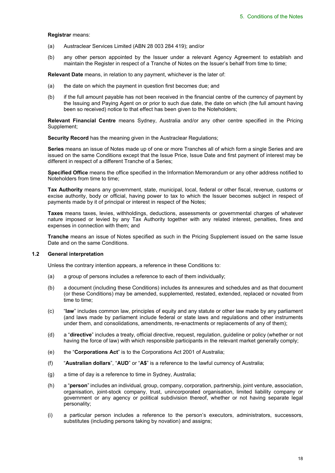#### **Registrar** means:

- (a) Austraclear Services Limited (ABN 28 003 284 419); and/or
- (b) any other person appointed by the Issuer under a relevant Agency Agreement to establish and maintain the Register in respect of a Tranche of Notes on the Issuer's behalf from time to time;

**Relevant Date** means, in relation to any payment, whichever is the later of:

- (a) the date on which the payment in question first becomes due; and
- (b) if the full amount payable has not been received in the financial centre of the currency of payment by the Issuing and Paying Agent on or prior to such due date, the date on which (the full amount having been so received) notice to that effect has been given to the Noteholders;

**Relevant Financial Centre** means Sydney, Australia and/or any other centre specified in the Pricing Supplement;

**Security Record** has the meaning given in the Austraclear Regulations;

**Series** means an issue of Notes made up of one or more Tranches all of which form a single Series and are issued on the same Conditions except that the Issue Price, Issue Date and first payment of interest may be different in respect of a different Tranche of a Series;

**Specified Office** means the office specified in the Information Memorandum or any other address notified to Noteholders from time to time;

**Tax Authority** means any government, state, municipal, local, federal or other fiscal, revenue, customs or excise authority, body or official, having power to tax to which the Issuer becomes subject in respect of payments made by it of principal or interest in respect of the Notes;

**Taxes** means taxes, levies, withholdings, deductions, assessments or governmental charges of whatever nature imposed or levied by any Tax Authority together with any related interest, penalties, fines and expenses in connection with them; and

**Tranche** means an issue of Notes specified as such in the Pricing Supplement issued on the same Issue Date and on the same Conditions.

#### **1.2 General interpretation**

Unless the contrary intention appears, a reference in these Conditions to:

- (a) a group of persons includes a reference to each of them individually;
- (b) a document (including these Conditions) includes its annexures and schedules and as that document (or these Conditions) may be amended, supplemented, restated, extended, replaced or novated from time to time;
- (c) "**law**" includes common law, principles of equity and any statute or other law made by any parliament (and laws made by parliament include federal or state laws and regulations and other instruments under them, and consolidations, amendments, re-enactments or replacements of any of them);
- (d) a "**directive**" includes a treaty, official directive, request, regulation, guideline or policy (whether or not having the force of law) with which responsible participants in the relevant market generally comply;
- (e) the "**Corporations Act**" is to the Corporations Act 2001 of Australia;
- (f) "**Australian dollars**", "**AUD**" or "**A\$**" is a reference to the lawful currency of Australia;
- (g) a time of day is a reference to time in Sydney, Australia;
- (h) a "**person**" includes an individual, group, company, corporation, partnership, joint venture, association, organisation, joint-stock company, trust, unincorporated organisation, limited liability company or government or any agency or political subdivision thereof, whether or not having separate legal personality;
- (i) a particular person includes a reference to the person's executors, administrators, successors, substitutes (including persons taking by novation) and assigns;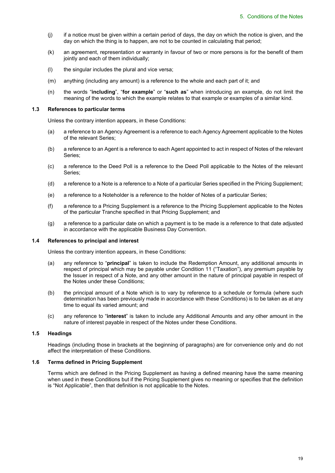- $(i)$  if a notice must be given within a certain period of days, the day on which the notice is given, and the day on which the thing is to happen, are not to be counted in calculating that period;
- (k) an agreement, representation or warranty in favour of two or more persons is for the benefit of them jointly and each of them individually;
- (l) the singular includes the plural and vice versa;
- (m) anything (including any amount) is a reference to the whole and each part of it; and
- (n) the words "**including**", "**for example**" or "**such as**" when introducing an example, do not limit the meaning of the words to which the example relates to that example or examples of a similar kind.

#### **1.3 References to particular terms**

Unless the contrary intention appears, in these Conditions:

- (a) a reference to an Agency Agreement is a reference to each Agency Agreement applicable to the Notes of the relevant Series;
- (b) a reference to an Agent is a reference to each Agent appointed to act in respect of Notes of the relevant Series;
- (c) a reference to the Deed Poll is a reference to the Deed Poll applicable to the Notes of the relevant Series;
- (d) a reference to a Note is a reference to a Note of a particular Series specified in the Pricing Supplement;
- (e) a reference to a Noteholder is a reference to the holder of Notes of a particular Series;
- (f) a reference to a Pricing Supplement is a reference to the Pricing Supplement applicable to the Notes of the particular Tranche specified in that Pricing Supplement; and
- (g) a reference to a particular date on which a payment is to be made is a reference to that date adjusted in accordance with the applicable Business Day Convention.

#### **1.4 References to principal and interest**

Unless the contrary intention appears, in these Conditions:

- (a) any reference to "**principal**" is taken to include the Redemption Amount, any additional amounts in respect of principal which may be payable under Condition 11 ("Taxation"), any premium payable by the Issuer in respect of a Note, and any other amount in the nature of principal payable in respect of the Notes under these Conditions;
- (b) the principal amount of a Note which is to vary by reference to a schedule or formula (where such determination has been previously made in accordance with these Conditions) is to be taken as at any time to equal its varied amount; and
- (c) any reference to "**interest**" is taken to include any Additional Amounts and any other amount in the nature of interest payable in respect of the Notes under these Conditions.

#### **1.5 Headings**

Headings (including those in brackets at the beginning of paragraphs) are for convenience only and do not affect the interpretation of these Conditions.

### **1.6 Terms defined in Pricing Supplement**

Terms which are defined in the Pricing Supplement as having a defined meaning have the same meaning when used in these Conditions but if the Pricing Supplement gives no meaning or specifies that the definition is "Not Applicable", then that definition is not applicable to the Notes.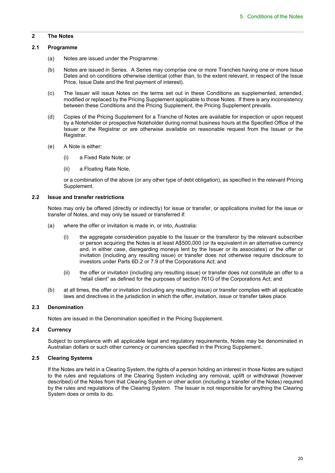## **2 The Notes**

## **2.1 Programme**

- (a) Notes are issued under the Programme.
- (b) Notes are issued in Series. A Series may comprise one or more Tranches having one or more Issue Dates and on conditions otherwise identical (other than, to the extent relevant, in respect of the Issue Price, Issue Date and the first payment of interest).
- (c) The Issuer will issue Notes on the terms set out in these Conditions as supplemented, amended, modified or replaced by the Pricing Supplement applicable to those Notes. If there is any inconsistency between these Conditions and the Pricing Supplement, the Pricing Supplement prevails.
- (d) Copies of the Pricing Supplement for a Tranche of Notes are available for inspection or upon request by a Noteholder or prospective Noteholder during normal business hours at the Specified Office of the Issuer or the Registrar or are otherwise available on reasonable request from the Issuer or the Registrar.
- (e) A Note is either:
	- (i) a Fixed Rate Note; or
	- (ii) a Floating Rate Note,

 or a combination of the above (or any other type of debt obligation), as specified in the relevant Pricing Supplement.

#### **2.2 Issue and transfer restrictions**

Notes may only be offered (directly or indirectly) for issue or transfer, or applications invited for the issue or transfer of Notes, and may only be issued or transferred if:

- (a) where the offer or invitation is made in, or into, Australia:
	- (i) the aggregate consideration payable to the Issuer or the transferor by the relevant subscriber or person acquiring the Notes is at least A\$500,000 (or its equivalent in an alternative currency and, in either case, disregarding moneys lent by the Issuer or its associates) or the offer or invitation (including any resulting issue) or transfer does not otherwise require disclosure to investors under Parts 6D.2 or 7.9 of the Corporations Act; and
	- (ii) the offer or invitation (including any resulting issue) or transfer does not constitute an offer to a "retail client" as defined for the purposes of section 761G of the Corporations Act; and
- (b) at all times, the offer or invitation (including any resulting issue) or transfer complies with all applicable laws and directives in the jurisdiction in which the offer, invitation, issue or transfer takes place.

## **2.3 Denomination**

Notes are issued in the Denomination specified in the Pricing Supplement.

## **2.4 Currency**

Subject to compliance with all applicable legal and regulatory requirements, Notes may be denominated in Australian dollars or such other currency or currencies specified in the Pricing Supplement.

## **2.5 Clearing Systems**

If the Notes are held in a Clearing System, the rights of a person holding an interest in those Notes are subject to the rules and regulations of the Clearing System including any removal, uplift or withdrawal (however described) of the Notes from that Clearing System or other action (including a transfer of the Notes) required by the rules and regulations of the Clearing System. The Issuer is not responsible for anything the Clearing System does or omits to do.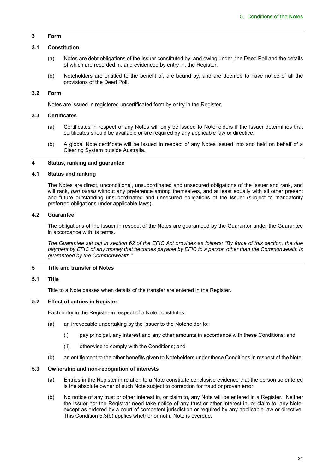## **3 Form**

#### **3.1 Constitution**

- (a) Notes are debt obligations of the Issuer constituted by, and owing under, the Deed Poll and the details of which are recorded in, and evidenced by entry in, the Register.
- (b) Noteholders are entitled to the benefit of, are bound by, and are deemed to have notice of all the provisions of the Deed Poll.

## **3.2 Form**

Notes are issued in registered uncertificated form by entry in the Register.

## **3.3 Certificates**

- (a) Certificates in respect of any Notes will only be issued to Noteholders if the Issuer determines that certificates should be available or are required by any applicable law or directive.
- (b) A global Note certificate will be issued in respect of any Notes issued into and held on behalf of a Clearing System outside Australia.

## **4 Status, ranking and guarantee**

#### **4.1 Status and ranking**

The Notes are direct, unconditional, unsubordinated and unsecured obligations of the Issuer and rank, and will rank, *pari passu* without any preference among themselves, and at least equally with all other present and future outstanding unsubordinated and unsecured obligations of the Issuer (subject to mandatorily preferred obligations under applicable laws).

#### **4.2 Guarantee**

The obligations of the Issuer in respect of the Notes are guaranteed by the Guarantor under the Guarantee in accordance with its terms.

*The Guarantee set out in section 62 of the EFIC Act provides as follows: "By force of this section, the due payment by EFIC of any money that becomes payable by EFIC to a person other than the Commonwealth is guaranteed by the Commonwealth."* 

## **5 Title and transfer of Notes**

#### **5.1 Title**

Title to a Note passes when details of the transfer are entered in the Register.

#### **5.2 Effect of entries in Register**

Each entry in the Register in respect of a Note constitutes:

- (a) an irrevocable undertaking by the Issuer to the Noteholder to:
	- (i) pay principal, any interest and any other amounts in accordance with these Conditions; and
	- (ii) otherwise to comply with the Conditions; and
- (b) an entitlement to the other benefits given to Noteholders under these Conditions in respect of the Note.

#### **5.3 Ownership and non-recognition of interests**

- (a) Entries in the Register in relation to a Note constitute conclusive evidence that the person so entered is the absolute owner of such Note subject to correction for fraud or proven error.
- (b) No notice of any trust or other interest in, or claim to, any Note will be entered in a Register. Neither the Issuer nor the Registrar need take notice of any trust or other interest in, or claim to, any Note, except as ordered by a court of competent jurisdiction or required by any applicable law or directive. This Condition 5.3(b) applies whether or not a Note is overdue.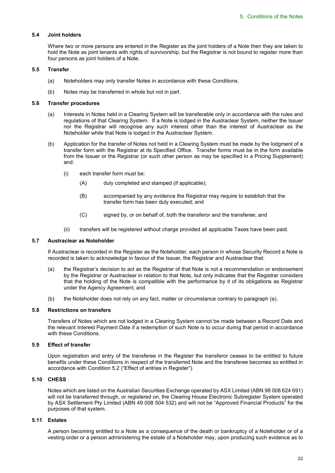### **5.4 Joint holders**

Where two or more persons are entered in the Register as the joint holders of a Note then they are taken to hold the Note as joint tenants with rights of survivorship, but the Registrar is not bound to register more than four persons as joint holders of a Note.

## **5.5 Transfer**

- (a) Noteholders may only transfer Notes in accordance with these Conditions.
- (b) Notes may be transferred in whole but not in part.

#### **5.6 Transfer procedures**

- (a) Interests in Notes held in a Clearing System will be transferable only in accordance with the rules and regulations of that Clearing System. If a Note is lodged in the Austraclear System, neither the Issuer nor the Registrar will recognise any such interest other than the interest of Austraclear as the Noteholder while that Note is lodged in the Austraclear System.
- (b) Application for the transfer of Notes not held in a Clearing System must be made by the lodgment of a transfer form with the Registrar at its Specified Office. Transfer forms must be in the form available from the Issuer or the Registrar (or such other person as may be specified in a Pricing Supplement) and:
	- (i) each transfer form must be:
		- (A) duly completed and stamped (if applicable);
		- (B) accompanied by any evidence the Registrar may require to establish that the transfer form has been duly executed; and
		- (C) signed by, or on behalf of, both the transferor and the transferee; and
	- (ii) transfers will be registered without charge provided all applicable Taxes have been paid.

#### **5.7 Austraclear as Noteholder**

If Austraclear is recorded in the Register as the Noteholder, each person in whose Security Record a Note is recorded is taken to acknowledge in favour of the Issuer, the Registrar and Austraclear that:

- (a) the Registrar's decision to act as the Registrar of that Note is not a recommendation or endorsement by the Registrar or Austraclear in relation to that Note, but only indicates that the Registrar considers that the holding of the Note is compatible with the performance by it of its obligations as Registrar under the Agency Agreement; and
- (b) the Noteholder does not rely on any fact, matter or circumstance contrary to paragraph (a).

## **5.8 Restrictions on transfers**

Transfers of Notes which are not lodged in a Clearing System cannot be made between a Record Date and the relevant Interest Payment Date if a redemption of such Note is to occur during that period in accordance with these Conditions.

#### **5.9 Effect of transfer**

Upon registration and entry of the transferee in the Register the transferor ceases to be entitled to future benefits under these Conditions in respect of the transferred Note and the transferee becomes so entitled in accordance with Condition 5.2 ("Effect of entries in Register").

## **5.10 CHESS**

Notes which are listed on the Australian Securities Exchange operated by ASX Limited (ABN 98 008 624 691) will not be transferred through, or registered on, the Clearing House Electronic Subregister System operated by ASX Settlement Pty Limited (ABN 49 008 504 532) and will not be "Approved Financial Products" for the purposes of that system.

## **5.11 Estates**

A person becoming entitled to a Note as a consequence of the death or bankruptcy of a Noteholder or of a vesting order or a person administering the estate of a Noteholder may, upon producing such evidence as to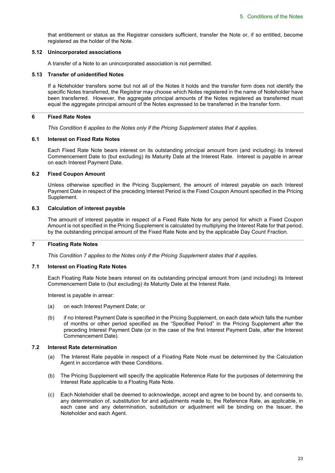that entitlement or status as the Registrar considers sufficient, transfer the Note or, if so entitled, become registered as the holder of the Note.

#### **5.12 Unincorporated associations**

A transfer of a Note to an unincorporated association is not permitted.

#### **5.13 Transfer of unidentified Notes**

If a Noteholder transfers some but not all of the Notes it holds and the transfer form does not identify the specific Notes transferred, the Registrar may choose which Notes registered in the name of Noteholder have been transferred. However, the aggregate principal amounts of the Notes registered as transferred must equal the aggregate principal amount of the Notes expressed to be transferred in the transfer form.

### **6 Fixed Rate Notes**

*This Condition 6 applies to the Notes only if the Pricing Supplement states that it applies.* 

#### **6.1 Interest on Fixed Rate Notes**

Each Fixed Rate Note bears interest on its outstanding principal amount from (and including) its Interest Commencement Date to (but excluding) its Maturity Date at the Interest Rate. Interest is payable in arrear on each Interest Payment Date.

#### **6.2 Fixed Coupon Amount**

Unless otherwise specified in the Pricing Supplement, the amount of interest payable on each Interest Payment Date in respect of the preceding Interest Period is the Fixed Coupon Amount specified in the Pricing Supplement.

## **6.3 Calculation of interest payable**

The amount of interest payable in respect of a Fixed Rate Note for any period for which a Fixed Coupon Amount is not specified in the Pricing Supplement is calculated by multiplying the Interest Rate for that period, by the outstanding principal amount of the Fixed Rate Note and by the applicable Day Count Fraction.

#### **7 Floating Rate Notes**

*This Condition 7 applies to the Notes only if the Pricing Supplement states that it applies.* 

#### **7.1 Interest on Floating Rate Notes**

Each Floating Rate Note bears interest on its outstanding principal amount from (and including) its Interest Commencement Date to (but excluding) its Maturity Date at the Interest Rate.

Interest is payable in arrear:

- (a) on each Interest Payment Date; or
- (b) if no Interest Payment Date is specified in the Pricing Supplement, on each date which falls the number of months or other period specified as the "Specified Period" in the Pricing Supplement after the preceding Interest Payment Date (or in the case of the first Interest Payment Date, after the Interest Commencement Date).

## **7.2 Interest Rate determination**

- (a) The Interest Rate payable in respect of a Floating Rate Note must be determined by the Calculation Agent in accordance with these Conditions.
- (b) The Pricing Supplement will specify the applicable Reference Rate for the purposes of determining the Interest Rate applicable to a Floating Rate Note.
- (c) Each Noteholder shall be deemed to acknowledge, accept and agree to be bound by, and consents to, any determination of, substitution for and adjustments made to, the Reference Rate, as applicable, in each case and any determination, substitution or adjustment will be binding on the Issuer, the Noteholder and each Agent.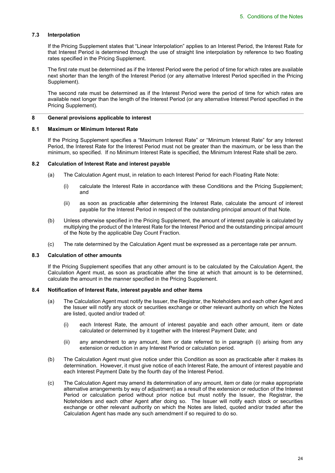#### **7.3 Interpolation**

If the Pricing Supplement states that "Linear Interpolation" applies to an Interest Period, the Interest Rate for that Interest Period is determined through the use of straight line interpolation by reference to two floating rates specified in the Pricing Supplement.

The first rate must be determined as if the Interest Period were the period of time for which rates are available next shorter than the length of the Interest Period (or any alternative Interest Period specified in the Pricing Supplement).

The second rate must be determined as if the Interest Period were the period of time for which rates are available next longer than the length of the Interest Period (or any alternative Interest Period specified in the Pricing Supplement).

#### **8 General provisions applicable to interest**

#### **8.1 Maximum or Minimum Interest Rate**

If the Pricing Supplement specifies a "Maximum Interest Rate" or "Minimum Interest Rate" for any Interest Period, the Interest Rate for the Interest Period must not be greater than the maximum, or be less than the minimum, so specified. If no Minimum Interest Rate is specified, the Minimum Interest Rate shall be zero.

### **8.2 Calculation of Interest Rate and interest payable**

- (a) The Calculation Agent must, in relation to each Interest Period for each Floating Rate Note:
	- (i) calculate the Interest Rate in accordance with these Conditions and the Pricing Supplement; and
	- (ii) as soon as practicable after determining the Interest Rate, calculate the amount of interest payable for the Interest Period in respect of the outstanding principal amount of that Note.
- (b) Unless otherwise specified in the Pricing Supplement, the amount of interest payable is calculated by multiplying the product of the Interest Rate for the Interest Period and the outstanding principal amount of the Note by the applicable Day Count Fraction.
- (c) The rate determined by the Calculation Agent must be expressed as a percentage rate per annum.

#### **8.3 Calculation of other amounts**

If the Pricing Supplement specifies that any other amount is to be calculated by the Calculation Agent, the Calculation Agent must, as soon as practicable after the time at which that amount is to be determined, calculate the amount in the manner specified in the Pricing Supplement.

#### **8.4 Notification of Interest Rate, interest payable and other items**

- (a) The Calculation Agent must notify the Issuer, the Registrar, the Noteholders and each other Agent and the Issuer will notify any stock or securities exchange or other relevant authority on which the Notes are listed, quoted and/or traded of:
	- (i) each Interest Rate, the amount of interest payable and each other amount, item or date calculated or determined by it together with the Interest Payment Date; and
	- (ii) any amendment to any amount, item or date referred to in paragraph (i) arising from any extension or reduction in any Interest Period or calculation period.
- (b) The Calculation Agent must give notice under this Condition as soon as practicable after it makes its determination. However, it must give notice of each Interest Rate, the amount of interest payable and each Interest Payment Date by the fourth day of the Interest Period.
- (c) The Calculation Agent may amend its determination of any amount, item or date (or make appropriate alternative arrangements by way of adjustment) as a result of the extension or reduction of the Interest Period or calculation period without prior notice but must notify the Issuer, the Registrar, the Noteholders and each other Agent after doing so. The Issuer will notify each stock or securities exchange or other relevant authority on which the Notes are listed, quoted and/or traded after the Calculation Agent has made any such amendment if so required to do so.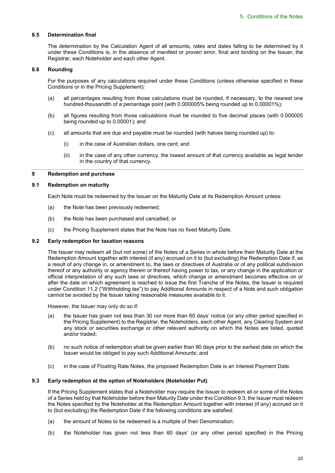## **8.5 Determination final**

The determination by the Calculation Agent of all amounts, rates and dates falling to be determined by it under these Conditions is, in the absence of manifest or proven error, final and binding on the Issuer, the Registrar, each Noteholder and each other Agent.

#### **8.6 Rounding**

For the purposes of any calculations required under these Conditions (unless otherwise specified in these Conditions or in the Pricing Supplement):

- (a) all percentages resulting from those calculations must be rounded, if necessary, to the nearest one hundred-thousandth of a percentage point (with 0.000005% being rounded up to 0.00001%);
- (b) all figures resulting from those calculations must be rounded to five decimal places (with 0.000005 being rounded up to 0.00001); and
- (c) all amounts that are due and payable must be rounded (with halves being rounded up) to:
	- (i) in the case of Australian dollars, one cent; and
	- (ii) in the case of any other currency, the lowest amount of that currency available as legal tender in the country of that currency.

#### **9 Redemption and purchase**

#### **9.1 Redemption on maturity**

Each Note must be redeemed by the Issuer on the Maturity Date at its Redemption Amount unless:

- (a) the Note has been previously redeemed;
- (b) the Note has been purchased and cancelled; or
- (c) the Pricing Supplement states that the Note has no fixed Maturity Date.

#### **9.2 Early redemption for taxation reasons**

The Issuer may redeem all (but not some) of the Notes of a Series in whole before their Maturity Date at the Redemption Amount together with interest (if any) accrued on it to (but excluding) the Redemption Date if, as a result of any change in, or amendment to, the laws or directives of Australia or of any political subdivision thereof or any authority or agency therein or thereof having power to tax, or any change in the application or official interpretation of any such laws or directives, which change or amendment becomes effective on or after the date on which agreement is reached to issue the first Tranche of the Notes, the Issuer is required under Condition 11.2 ("Withholding tax") to pay Additional Amounts in respect of a Note and such obligation cannot be avoided by the Issuer taking reasonable measures available to it.

However, the Issuer may only do so if:

- (a) the Issuer has given not less than 30 nor more than 60 days' notice (or any other period specified in the Pricing Supplement) to the Registrar, the Noteholders, each other Agent, any Clearing System and any stock or securities exchange or other relevant authority on which the Notes are listed, quoted and/or traded;
- (b) no such notice of redemption shall be given earlier than 90 days prior to the earliest date on which the Issuer would be obliged to pay such Additional Amounts; and
- (c) in the case of Floating Rate Notes, the proposed Redemption Date is an Interest Payment Date.

#### **9.3 Early redemption at the option of Noteholders (Noteholder Put)**

If the Pricing Supplement states that a Noteholder may require the Issuer to redeem all or some of the Notes of a Series held by that Noteholder before their Maturity Date under this Condition 9.3, the Issuer must redeem the Notes specified by the Noteholder at the Redemption Amount together with interest (if any) accrued on it to (but excluding) the Redemption Date if the following conditions are satisfied:

- (a) the amount of Notes to be redeemed is a multiple of their Denomination;
- (b) the Noteholder has given not less than 60 days' (or any other period specified in the Pricing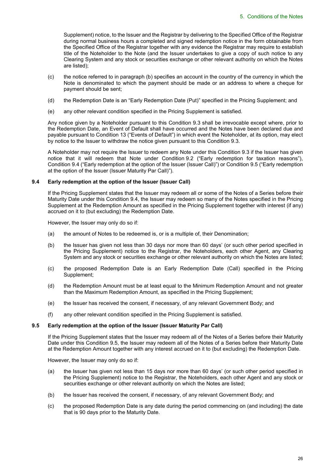Supplement) notice, to the Issuer and the Registrar by delivering to the Specified Office of the Registrar during normal business hours a completed and signed redemption notice in the form obtainable from the Specified Office of the Registrar together with any evidence the Registrar may require to establish title of the Noteholder to the Note (and the Issuer undertakes to give a copy of such notice to any Clearing System and any stock or securities exchange or other relevant authority on which the Notes are listed);

- (c) the notice referred to in paragraph (b) specifies an account in the country of the currency in which the Note is denominated to which the payment should be made or an address to where a cheque for payment should be sent;
- (d) the Redemption Date is an "Early Redemption Date (Put)" specified in the Pricing Supplement; and
- (e) any other relevant condition specified in the Pricing Supplement is satisfied.

Any notice given by a Noteholder pursuant to this Condition 9.3 shall be irrevocable except where, prior to the Redemption Date, an Event of Default shall have occurred and the Notes have been declared due and payable pursuant to Condition 13 ("Events of Default") in which event the Noteholder, at its option, may elect by notice to the Issuer to withdraw the notice given pursuant to this Condition 9.3.

A Noteholder may not require the Issuer to redeem any Note under this Condition 9.3 if the Issuer has given notice that it will redeem that Note under Condition 9.2 ("Early redemption for taxation reasons"), Condition 9.4 ("Early redemption at the option of the Issuer (Issuer Call)") or Condition 9.5 ("Early redemption at the option of the Issuer (Issuer Maturity Par Call)").

### **9.4 Early redemption at the option of the Issuer (Issuer Call)**

If the Pricing Supplement states that the Issuer may redeem all or some of the Notes of a Series before their Maturity Date under this Condition 9.4, the Issuer may redeem so many of the Notes specified in the Pricing Supplement at the Redemption Amount as specified in the Pricing Supplement together with interest (if any) accrued on it to (but excluding) the Redemption Date.

However, the Issuer may only do so if:

- (a) the amount of Notes to be redeemed is, or is a multiple of, their Denomination;
- (b) the Issuer has given not less than 30 days nor more than 60 days' (or such other period specified in the Pricing Supplement) notice to the Registrar, the Noteholders, each other Agent, any Clearing System and any stock or securities exchange or other relevant authority on which the Notes are listed;
- (c) the proposed Redemption Date is an Early Redemption Date (Call) specified in the Pricing Supplement;
- (d) the Redemption Amount must be at least equal to the Minimum Redemption Amount and not greater than the Maximum Redemption Amount, as specified in the Pricing Supplement;
- (e) the Issuer has received the consent, if necessary, of any relevant Government Body; and
- (f) any other relevant condition specified in the Pricing Supplement is satisfied.

#### **9.5 Early redemption at the option of the Issuer (Issuer Maturity Par Call)**

If the Pricing Supplement states that the Issuer may redeem all of the Notes of a Series before their Maturity Date under this Condition 9.5, the Issuer may redeem all of the Notes of a Series before their Maturity Date at the Redemption Amount together with any interest accrued on it to (but excluding) the Redemption Date.

However, the Issuer may only do so if:

- (a) the Issuer has given not less than 15 days nor more than 60 days' (or such other period specified in the Pricing Supplement) notice to the Registrar, the Noteholders, each other Agent and any stock or securities exchange or other relevant authority on which the Notes are listed;
- (b) the Issuer has received the consent, if necessary, of any relevant Government Body; and
- (c) the proposed Redemption Date is any date during the period commencing on (and including) the date that is 90 days prior to the Maturity Date.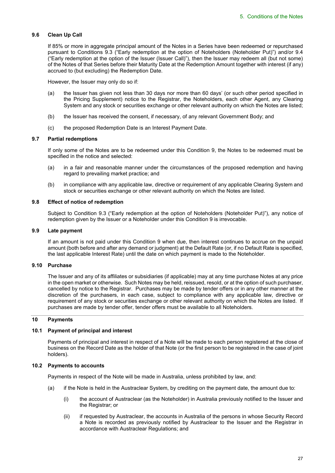## **9.6 Clean Up Call**

If 85% or more in aggregate principal amount of the Notes in a Series have been redeemed or repurchased pursuant to Conditions 9.3 ("Early redemption at the option of Noteholders (Noteholder Put)") and/or 9.4 ("Early redemption at the option of the Issuer (Issuer Call)"), then the Issuer may redeem all (but not some) of the Notes of that Series before their Maturity Date at the Redemption Amount together with interest (if any) accrued to (but excluding) the Redemption Date.

However, the Issuer may only do so if:

- (a) the Issuer has given not less than 30 days nor more than 60 days' (or such other period specified in the Pricing Supplement) notice to the Registrar, the Noteholders, each other Agent, any Clearing System and any stock or securities exchange or other relevant authority on which the Notes are listed;
- (b) the Issuer has received the consent, if necessary, of any relevant Government Body; and
- (c) the proposed Redemption Date is an Interest Payment Date.

#### **9.7 Partial redemptions**

If only some of the Notes are to be redeemed under this Condition 9, the Notes to be redeemed must be specified in the notice and selected:

- (a) in a fair and reasonable manner under the circumstances of the proposed redemption and having regard to prevailing market practice; and
- (b) in compliance with any applicable law, directive or requirement of any applicable Clearing System and stock or securities exchange or other relevant authority on which the Notes are listed.

## **9.8 Effect of notice of redemption**

Subject to Condition 9.3 ("Early redemption at the option of Noteholders (Noteholder Put)"), any notice of redemption given by the Issuer or a Noteholder under this Condition 9 is irrevocable.

### **9.9 Late payment**

If an amount is not paid under this Condition 9 when due, then interest continues to accrue on the unpaid amount (both before and after any demand or judgment) at the Default Rate (or, if no Default Rate is specified, the last applicable Interest Rate) until the date on which payment is made to the Noteholder.

#### **9.10 Purchase**

The Issuer and any of its affiliates or subsidiaries (if applicable) may at any time purchase Notes at any price in the open market or otherwise. Such Notes may be held, reissued, resold, or at the option of such purchaser, cancelled by notice to the Registrar. Purchases may be made by tender offers or in any other manner at the discretion of the purchasers, in each case, subject to compliance with any applicable law, directive or requirement of any stock or securities exchange or other relevant authority on which the Notes are listed. If purchases are made by tender offer, tender offers must be available to all Noteholders.

#### **10 Payments**

#### **10.1 Payment of principal and interest**

Payments of principal and interest in respect of a Note will be made to each person registered at the close of business on the Record Date as the holder of that Note (or the first person to be registered in the case of joint holders).

#### **10.2 Payments to accounts**

Payments in respect of the Note will be made in Australia, unless prohibited by law, and:

- (a) if the Note is held in the Austraclear System, by crediting on the payment date, the amount due to:
	- (i) the account of Austraclear (as the Noteholder) in Australia previously notified to the Issuer and the Registrar; or
	- (ii) if requested by Austraclear, the accounts in Australia of the persons in whose Security Record a Note is recorded as previously notified by Austraclear to the Issuer and the Registrar in accordance with Austraclear Regulations; and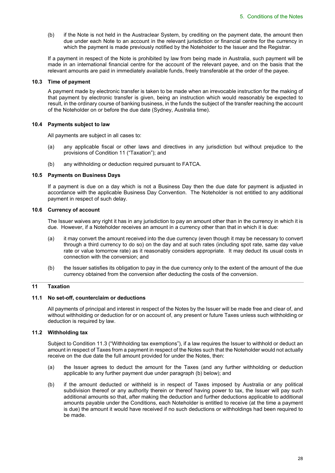(b) if the Note is not held in the Austraclear System, by crediting on the payment date, the amount then due under each Note to an account in the relevant jurisdiction or financial centre for the currency in which the payment is made previously notified by the Noteholder to the Issuer and the Registrar.

If a payment in respect of the Note is prohibited by law from being made in Australia, such payment will be made in an international financial centre for the account of the relevant payee, and on the basis that the relevant amounts are paid in immediately available funds, freely transferable at the order of the payee.

#### **10.3 Time of payment**

A payment made by electronic transfer is taken to be made when an irrevocable instruction for the making of that payment by electronic transfer is given, being an instruction which would reasonably be expected to result, in the ordinary course of banking business, in the funds the subject of the transfer reaching the account of the Noteholder on or before the due date (Sydney, Australia time).

#### **10.4 Payments subject to law**

All payments are subject in all cases to:

- (a) any applicable fiscal or other laws and directives in any jurisdiction but without prejudice to the provisions of Condition 11 ("Taxation"); and
- (b) any withholding or deduction required pursuant to FATCA.

#### **10.5 Payments on Business Days**

If a payment is due on a day which is not a Business Day then the due date for payment is adjusted in accordance with the applicable Business Day Convention. The Noteholder is not entitled to any additional payment in respect of such delay.

#### **10.6 Currency of account**

The Issuer waives any right it has in any jurisdiction to pay an amount other than in the currency in which it is due. However, if a Noteholder receives an amount in a currency other than that in which it is due:

- (a) it may convert the amount received into the due currency (even though it may be necessary to convert through a third currency to do so) on the day and at such rates (including spot rate, same day value rate or value tomorrow rate) as it reasonably considers appropriate. It may deduct its usual costs in connection with the conversion; and
- (b) the Issuer satisfies its obligation to pay in the due currency only to the extent of the amount of the due currency obtained from the conversion after deducting the costs of the conversion.

## **11 Taxation**

#### **11.1 No set-off, counterclaim or deductions**

All payments of principal and interest in respect of the Notes by the Issuer will be made free and clear of, and without withholding or deduction for or on account of, any present or future Taxes unless such withholding or deduction is required by law.

## **11.2 Withholding tax**

Subject to Condition 11.3 ("Withholding tax exemptions"), if a law requires the Issuer to withhold or deduct an amount in respect of Taxes from a payment in respect of the Notes such that the Noteholder would not actually receive on the due date the full amount provided for under the Notes, then:

- (a) the Issuer agrees to deduct the amount for the Taxes (and any further withholding or deduction applicable to any further payment due under paragraph (b) below); and
- (b) if the amount deducted or withheld is in respect of Taxes imposed by Australia or any political subdivision thereof or any authority therein or thereof having power to tax, the Issuer will pay such additional amounts so that, after making the deduction and further deductions applicable to additional amounts payable under the Conditions, each Noteholder is entitled to receive (at the time a payment is due) the amount it would have received if no such deductions or withholdings had been required to be made.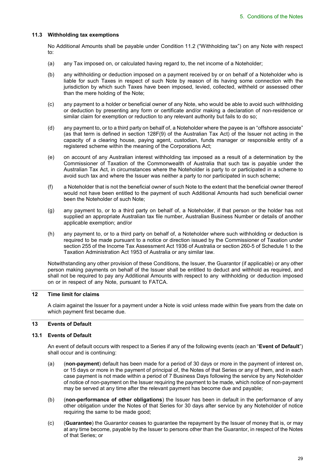## **11.3 Withholding tax exemptions**

No Additional Amounts shall be payable under Condition 11.2 ("Withholding tax") on any Note with respect to:

- (a) any Tax imposed on, or calculated having regard to, the net income of a Noteholder;
- (b) any withholding or deduction imposed on a payment received by or on behalf of a Noteholder who is liable for such Taxes in respect of such Note by reason of its having some connection with the jurisdiction by which such Taxes have been imposed, levied, collected, withheld or assessed other than the mere holding of the Note;
- (c) any payment to a holder or beneficial owner of any Note, who would be able to avoid such withholding or deduction by presenting any form or certificate and/or making a declaration of non-residence or similar claim for exemption or reduction to any relevant authority but fails to do so;
- (d) any payment to, or to a third party on behalf of, a Noteholder where the payee is an "offshore associate" (as that term is defined in section 128F(9) of the Australian Tax Act) of the Issuer not acting in the capacity of a clearing house, paying agent, custodian, funds manager or responsible entity of a registered scheme within the meaning of the Corporations Act;
- (e) on account of any Australian interest withholding tax imposed as a result of a determination by the Commissioner of Taxation of the Commonwealth of Australia that such tax is payable under the Australian Tax Act, in circumstances where the Noteholder is party to or participated in a scheme to avoid such tax and where the Issuer was neither a party to nor participated in such scheme;
- (f) a Noteholder that is not the beneficial owner of such Note to the extent that the beneficial owner thereof would not have been entitled to the payment of such Additional Amounts had such beneficial owner been the Noteholder of such Note;
- (g) any payment to, or to a third party on behalf of, a Noteholder, if that person or the holder has not supplied an appropriate Australian tax file number, Australian Business Number or details of another applicable exemption; and/or
- (h) any payment to, or to a third party on behalf of, a Noteholder where such withholding or deduction is required to be made pursuant to a notice or direction issued by the Commissioner of Taxation under section 255 of the Income Tax Assessment Act 1936 of Australia or section 260-5 of Schedule 1 to the Taxation Administration Act 1953 of Australia or any similar law.

Notwithstanding any other provision of these Conditions, the Issuer, the Guarantor (if applicable) or any other person making payments on behalf of the Issuer shall be entitled to deduct and withhold as required, and shall not be required to pay any Additional Amounts with respect to any withholding or deduction imposed on or in respect of any Note, pursuant to FATCA.

#### **12 Time limit for claims**

A claim against the Issuer for a payment under a Note is void unless made within five years from the date on which payment first became due.

## **13 Events of Default**

#### **13.1 Events of Default**

An event of default occurs with respect to a Series if any of the following events (each an "**Event of Default**") shall occur and is continuing:

- (a) (**non-payment**) default has been made for a period of 30 days or more in the payment of interest on, or 15 days or more in the payment of principal of, the Notes of that Series or any of them, and in each case payment is not made within a period of 7 Business Days following the service by any Noteholder of notice of non-payment on the Issuer requiring the payment to be made, which notice of non-payment may be served at any time after the relevant payment has become due and payable;
- (b) (**non-performance of other obligations**) the Issuer has been in default in the performance of any other obligation under the Notes of that Series for 30 days after service by any Noteholder of notice requiring the same to be made good;
- (c) (**Guarantee**) the Guarantor ceases to guarantee the repayment by the Issuer of money that is, or may at any time become, payable by the Issuer to persons other than the Guarantor, in respect of the Notes of that Series; or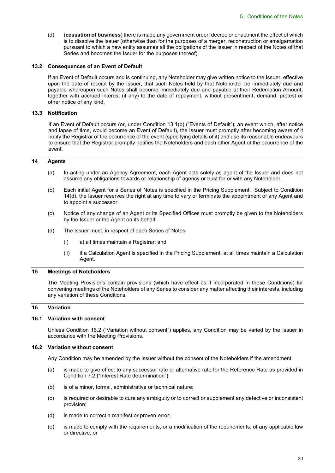(d) (**cessation of business**) there is made any government order, decree or enactment the effect of which is to dissolve the Issuer (otherwise than for the purposes of a merger, reconstruction or amalgamation pursuant to which a new entity assumes all the obligations of the Issuer in respect of the Notes of that Series and becomes the Issuer for the purposes thereof).

#### **13.2 Consequences of an Event of Default**

If an Event of Default occurs and is continuing, any Noteholder may give written notice to the Issuer, effective upon the date of receipt by the Issuer, that such Notes held by that Noteholder be immediately due and payable whereupon such Notes shall become immediately due and payable at their Redemption Amount, together with accrued interest (if any) to the date of repayment, without presentment, demand, protest or other notice of any kind.

## **13.3 Notification**

If an Event of Default occurs (or, under Condition 13.1(b) ("Events of Default"), an event which, after notice and lapse of time, would become an Event of Default), the Issuer must promptly after becoming aware of it notify the Registrar of the occurrence of the event (specifying details of it) and use its reasonable endeavours to ensure that the Registrar promptly notifies the Noteholders and each other Agent of the occurrence of the event.

## **14 Agents**

- (a) In acting under an Agency Agreement, each Agent acts solely as agent of the Issuer and does not assume any obligations towards or relationship of agency or trust for or with any Noteholder.
- (b) Each initial Agent for a Series of Notes is specified in the Pricing Supplement. Subject to Condition 14(d), the Issuer reserves the right at any time to vary or terminate the appointment of any Agent and to appoint a successor.
- (c) Notice of any change of an Agent or its Specified Offices must promptly be given to the Noteholders by the Issuer or the Agent on its behalf.
- (d) The Issuer must, in respect of each Series of Notes:
	- (i) at all times maintain a Registrar; and
	- (ii) if a Calculation Agent is specified in the Pricing Supplement, at all times maintain a Calculation Agent.

#### **15 Meetings of Noteholders**

The Meeting Provisions contain provisions (which have effect as if incorporated in these Conditions) for convening meetings of the Noteholders of any Series to consider any matter affecting their interests, including any variation of these Conditions.

## **16 Variation**

## **16.1 Variation with consent**

Unless Condition 16.2 ("Variation without consent") applies, any Condition may be varied by the Issuer in accordance with the Meeting Provisions.

#### **16.2 Variation without consent**

Any Condition may be amended by the Issuer without the consent of the Noteholders if the amendment:

- (a) is made to give effect to any successor rate or alternative rate for the Reference Rate as provided in Condition 7.2 ("Interest Rate determination");
- (b) is of a minor, formal, administrative or technical nature;
- (c) is required or desirable to cure any ambiguity or to correct or supplement any defective or inconsistent provision;
- (d) is made to correct a manifest or proven error;
- (e) is made to comply with the requirements, or a modification of the requirements, of any applicable law or directive; or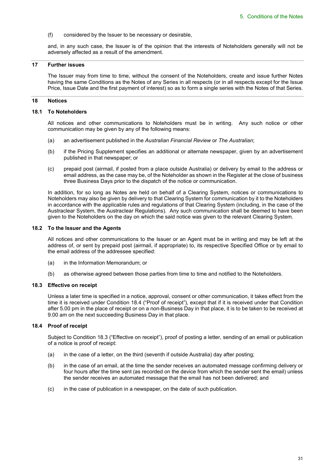(f) considered by the Issuer to be necessary or desirable,

and, in any such case, the Issuer is of the opinion that the interests of Noteholders generally will not be adversely affected as a result of the amendment.

#### **17 Further issues**

The Issuer may from time to time, without the consent of the Noteholders, create and issue further Notes having the same Conditions as the Notes of any Series in all respects (or in all respects except for the Issue Price, Issue Date and the first payment of interest) so as to form a single series with the Notes of that Series.

#### **18 Notices**

#### **18.1 To Noteholders**

All notices and other communications to Noteholders must be in writing. Any such notice or other communication may be given by any of the following means:

- (a) an advertisement published in the *Australian Financial Review* or *The Australian*;
- (b) if the Pricing Supplement specifies an additional or alternate newspaper, given by an advertisement published in that newspaper; or
- (c) prepaid post (airmail, if posted from a place outside Australia) or delivery by email to the address or email address, as the case may be, of the Noteholder as shown in the Register at the close of business three Business Days prior to the dispatch of the notice or communication.

In addition, for so long as Notes are held on behalf of a Clearing System, notices or communications to Noteholders may also be given by delivery to that Clearing System for communication by it to the Noteholders in accordance with the applicable rules and regulations of that Clearing System (including, in the case of the Austraclear System, the Austraclear Regulations). Any such communication shall be deemed to have been given to the Noteholders on the day on which the said notice was given to the relevant Clearing System.

#### **18.2 To the Issuer and the Agents**

All notices and other communications to the Issuer or an Agent must be in writing and may be left at the address of, or sent by prepaid post (airmail, if appropriate) to, its respective Specified Office or by email to the email address of the addressee specified:

- (a) in the Information Memorandum; or
- (b) as otherwise agreed between those parties from time to time and notified to the Noteholders.

#### **18.3 Effective on receipt**

Unless a later time is specified in a notice, approval, consent or other communication, it takes effect from the time it is received under Condition 18.4 ("Proof of receipt"), except that if it is received under that Condition after 5.00 pm in the place of receipt or on a non-Business Day in that place, it is to be taken to be received at 9.00 am on the next succeeding Business Day in that place.

#### **18.4 Proof of receipt**

Subject to Condition 18.3 ("Effective on receipt"), proof of posting a letter, sending of an email or publication of a notice is proof of receipt:

- (a) in the case of a letter, on the third (seventh if outside Australia) day after posting;
- (b) in the case of an email, at the time the sender receives an automated message confirming delivery or four hours after the time sent (as recorded on the device from which the sender sent the email) unless the sender receives an automated message that the email has not been delivered; and
- (c) in the case of publication in a newspaper, on the date of such publication.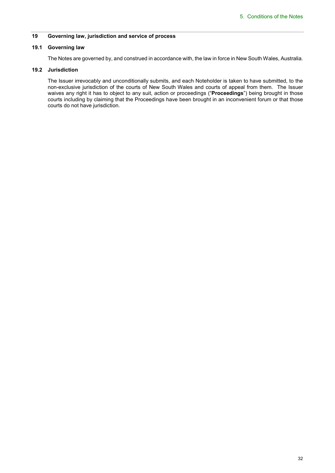## **19 Governing law, jurisdiction and service of process**

## **19.1 Governing law**

The Notes are governed by, and construed in accordance with, the law in force in New South Wales, Australia.

## **19.2 Jurisdiction**

The Issuer irrevocably and unconditionally submits, and each Noteholder is taken to have submitted, to the non-exclusive jurisdiction of the courts of New South Wales and courts of appeal from them. The Issuer waives any right it has to object to any suit, action or proceedings ("**Proceedings**") being brought in those courts including by claiming that the Proceedings have been brought in an inconvenient forum or that those courts do not have jurisdiction.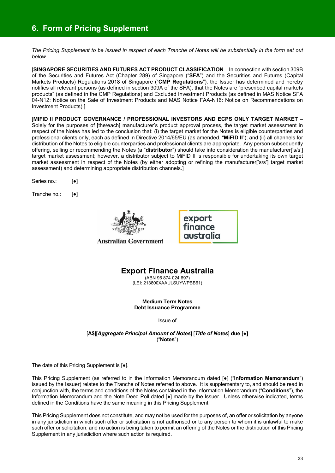## **6. Form of Pricing Supplement**

*The Pricing Supplement to be issued in respect of each Tranche of Notes will be substantially in the form set out below.* 

[**SINGAPORE SECURITIES AND FUTURES ACT PRODUCT CLASSIFICATION** – In connection with section 309B of the Securities and Futures Act (Chapter 289) of Singapore ("**SFA**") and the Securities and Futures (Capital Markets Products) Regulations 2018 of Singapore ("**CMP Regulations**"), the Issuer has determined and hereby notifies all relevant persons (as defined in section 309A of the SFA), that the Notes are "prescribed capital markets products" (as defined in the CMP Regulations) and Excluded Investment Products (as defined in MAS Notice SFA 04-N12: Notice on the Sale of Investment Products and MAS Notice FAA-N16: Notice on Recommendations on Investment Products).]

[**MIFID II PRODUCT GOVERNANCE / PROFESSIONAL INVESTORS AND ECPS ONLY TARGET MARKET –**  Solely for the purposes of [the/each] manufacturer's product approval process, the target market assessment in respect of the Notes has led to the conclusion that: (i) the target market for the Notes is eligible counterparties and professional clients only, each as defined in Directive 2014/65/EU (as amended, "**MiFID II**"); and (ii) all channels for distribution of the Notes to eligible counterparties and professional clients are appropriate. Any person subsequently offering, selling or recommending the Notes (a "**distributor**") should take into consideration the manufacturer['s/s'] target market assessment; however, a distributor subject to MiFID II is responsible for undertaking its own target market assessment in respect of the Notes (by either adopting or refining the manufacturer['s/s'] target market assessment) and determining appropriate distribution channels.]

Series no.: [ $\bullet$ ]

Tranche no.: [●]



export finance australia

## **Export Finance Australia**

(ABN 96 874 024 697) (LEI: 213800XAAULSUYWPBB61)

**Medium Term Notes Debt Issuance Programme** 

Issue of

[**A\$**][*Aggregate Principal Amount of Notes*] [*Title of Notes*] **due [●]**  ("**Notes**")

The date of this Pricing Supplement is [●].

This Pricing Supplement (as referred to in the Information Memorandum dated [●] ("**Information Memorandum**") issued by the Issuer) relates to the Tranche of Notes referred to above. It is supplementary to, and should be read in conjunction with, the terms and conditions of the Notes contained in the Information Memorandum ("**Conditions**"), the Information Memorandum and the Note Deed Poll dated [●] made by the Issuer. Unless otherwise indicated, terms defined in the Conditions have the same meaning in this Pricing Supplement.

This Pricing Supplement does not constitute, and may not be used for the purposes of, an offer or solicitation by anyone in any jurisdiction in which such offer or solicitation is not authorised or to any person to whom it is unlawful to make such offer or solicitation, and no action is being taken to permit an offering of the Notes or the distribution of this Pricing Supplement in any jurisdiction where such action is required.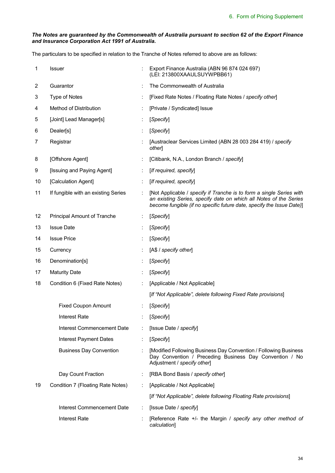## *The Notes are guaranteed by the Commonwealth of Australia pursuant to section 62 of the Export Finance and Insurance Corporation Act 1991 of Australia.*

The particulars to be specified in relation to the Tranche of Notes referred to above are as follows:

| 1  | <b>Issuer</b>                       |   | Export Finance Australia (ABN 96 874 024 697)<br>(LEI: 213800XAAULSUYWPBB61)                                                                                                                                       |
|----|-------------------------------------|---|--------------------------------------------------------------------------------------------------------------------------------------------------------------------------------------------------------------------|
| 2  | Guarantor                           |   | The Commonwealth of Australia                                                                                                                                                                                      |
| 3  | Type of Notes                       |   | [Fixed Rate Notes / Floating Rate Notes / specify other]                                                                                                                                                           |
| 4  | Method of Distribution              |   | [Private / Syndicated] Issue                                                                                                                                                                                       |
| 5  | [Joint] Lead Manager[s]             |   | [Specify]                                                                                                                                                                                                          |
| 6  | Dealer[s]                           |   | [Specify]                                                                                                                                                                                                          |
| 7  | Registrar                           |   | [Austraclear Services Limited (ABN 28 003 284 419) / specify<br>other]                                                                                                                                             |
| 8  | [Offshore Agent]                    |   | [Citibank, N.A., London Branch / specify]                                                                                                                                                                          |
| 9  | [Issuing and Paying Agent]          | ÷ | [If required, specify]                                                                                                                                                                                             |
| 10 | [Calculation Agent]                 |   | [If required, specify]                                                                                                                                                                                             |
| 11 | If fungible with an existing Series |   | [Not Applicable / specify if Tranche is to form a single Series with<br>an existing Series, specify date on which all Notes of the Series<br>become fungible (if no specific future date, specify the Issue Date)] |
| 12 | <b>Principal Amount of Tranche</b>  |   | [Specify]                                                                                                                                                                                                          |
| 13 | <b>Issue Date</b>                   |   | [Specify]                                                                                                                                                                                                          |
| 14 | <b>Issue Price</b>                  |   | [Specify]                                                                                                                                                                                                          |
| 15 | Currency                            |   | [A\$ / specify other]                                                                                                                                                                                              |
| 16 | Denomination[s]                     |   | [Specify]                                                                                                                                                                                                          |
| 17 | <b>Maturity Date</b>                |   | [Specify]                                                                                                                                                                                                          |
| 18 | Condition 6 (Fixed Rate Notes)      |   | [Applicable / Not Applicable]                                                                                                                                                                                      |
|    |                                     |   | [If "Not Applicable", delete following Fixed Rate provisions]                                                                                                                                                      |
|    | <b>Fixed Coupon Amount</b>          |   | [Specify]                                                                                                                                                                                                          |
|    | <b>Interest Rate</b>                |   | [Specify]                                                                                                                                                                                                          |
|    | Interest Commencement Date          |   | [Issue Date / specify]                                                                                                                                                                                             |
|    | <b>Interest Payment Dates</b>       |   | [Specify]                                                                                                                                                                                                          |
|    | <b>Business Day Convention</b>      |   | [Modified Following Business Day Convention / Following Business<br>Day Convention / Preceding Business Day Convention / No<br>Adjustment / specify other]                                                         |
|    | Day Count Fraction                  |   | [RBA Bond Basis / specify other]                                                                                                                                                                                   |
| 19 | Condition 7 (Floating Rate Notes)   |   | [Applicable / Not Applicable]                                                                                                                                                                                      |
|    |                                     |   | [If "Not Applicable", delete following Floating Rate provisions]                                                                                                                                                   |
|    | Interest Commencement Date          |   | [Issue Date / specify]                                                                                                                                                                                             |
|    | <b>Interest Rate</b>                |   | [Reference Rate +/- the Margin / specify any other method of<br>calculation]                                                                                                                                       |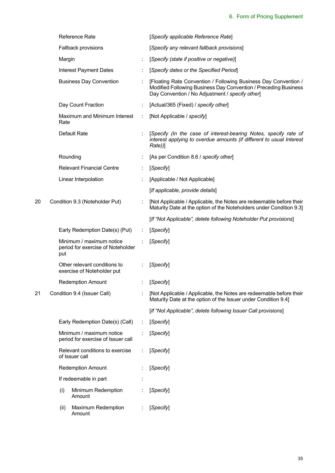|    | <b>Reference Rate</b>                                                | [Specify applicable Reference Rate]                                                                                                                                                   |
|----|----------------------------------------------------------------------|---------------------------------------------------------------------------------------------------------------------------------------------------------------------------------------|
|    | Fallback provisions                                                  | [Specify any relevant fallback provisions]                                                                                                                                            |
|    | Margin                                                               | [Specify (state if positive or negative)]                                                                                                                                             |
|    | <b>Interest Payment Dates</b>                                        | [Specify dates or the Specified Period]                                                                                                                                               |
|    | <b>Business Day Convention</b>                                       | [Floating Rate Convention / Following Business Day Convention /<br>Modified Following Business Day Convention / Preceding Business<br>Day Convention / No Adjustment / specify other] |
|    | Day Count Fraction                                                   | [Actual/365 (Fixed) / specify other]                                                                                                                                                  |
|    | Maximum and Minimum Interest<br>Rate                                 | [Not Applicable / specify]                                                                                                                                                            |
|    | Default Rate                                                         | [Specify (In the case of interest-bearing Notes, specify rate of<br>interest applying to overdue amounts (if different to usual Interest<br>Rate)                                     |
|    | Rounding                                                             | [As per Condition 8.6 / specify other]                                                                                                                                                |
|    | <b>Relevant Financial Centre</b>                                     | [Specify]                                                                                                                                                                             |
|    | Linear Interpolation                                                 | [Applicable / Not Applicable]                                                                                                                                                         |
|    |                                                                      | [If applicable, provide details]                                                                                                                                                      |
| 20 | Condition 9.3 (Noteholder Put)                                       | [Not Applicable / Applicable, the Notes are redeemable before their<br>Maturity Date at the option of the Noteholders under Condition 9.3]                                            |
|    |                                                                      | [If "Not Applicable", delete following Noteholder Put provisions]                                                                                                                     |
|    | Early Redemption Date(s) (Put)                                       | [Specify]                                                                                                                                                                             |
|    | Minimum / maximum notice<br>period for exercise of Noteholder<br>put | [Specify]                                                                                                                                                                             |
|    | Other relevant conditions to<br>exercise of Noteholder put           | [Specify]                                                                                                                                                                             |
|    | <b>Redemption Amount</b>                                             | [Specify]                                                                                                                                                                             |
| 21 | Condition 9.4 (Issuer Call)                                          | [Not Applicable / Applicable, the Notes are redeemable before their<br>Maturity Date at the option of the Issuer under Condition 9.4]                                                 |
|    |                                                                      | [If "Not Applicable", delete following Issuer Call provisions]                                                                                                                        |
|    | Early Redemption Date(s) (Call)                                      | [Specify]                                                                                                                                                                             |
|    | Minimum / maximum notice<br>period for exercise of Issuer call       | [Specify]                                                                                                                                                                             |
|    | Relevant conditions to exercise<br>of Issuer call                    | [Specify]                                                                                                                                                                             |
|    | <b>Redemption Amount</b>                                             | [Specify]                                                                                                                                                                             |
|    | If redeemable in part                                                |                                                                                                                                                                                       |
|    | Minimum Redemption<br>(i)<br>Amount                                  | [Specify]                                                                                                                                                                             |
|    | (ii)<br><b>Maximum Redemption</b><br>Amount                          | [Specify]                                                                                                                                                                             |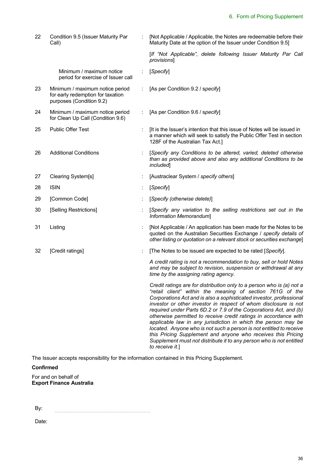| 22 | Condition 9.5 (Issuer Maturity Par<br>Call)                                                      | [Not Applicable / Applicable, the Notes are redeemable before their<br>Maturity Date at the option of the Issuer under Condition 9.5]                                                                                                                                                                                                                                                                                                                                                                                                                                                                                                                                                                                   |
|----|--------------------------------------------------------------------------------------------------|-------------------------------------------------------------------------------------------------------------------------------------------------------------------------------------------------------------------------------------------------------------------------------------------------------------------------------------------------------------------------------------------------------------------------------------------------------------------------------------------------------------------------------------------------------------------------------------------------------------------------------------------------------------------------------------------------------------------------|
|    |                                                                                                  | [If "Not Applicable", delete following Issuer Maturity Par Call<br>provisions]                                                                                                                                                                                                                                                                                                                                                                                                                                                                                                                                                                                                                                          |
|    | Minimum / maximum notice<br>period for exercise of Issuer call                                   | [Specify]                                                                                                                                                                                                                                                                                                                                                                                                                                                                                                                                                                                                                                                                                                               |
| 23 | Minimum / maximum notice period<br>for early redemption for taxation<br>purposes (Condition 9.2) | [As per Condition 9.2 / specify]                                                                                                                                                                                                                                                                                                                                                                                                                                                                                                                                                                                                                                                                                        |
| 24 | Minimum / maximum notice period<br>for Clean Up Call (Condition 9.6)                             | [As per Condition 9.6 / specify]                                                                                                                                                                                                                                                                                                                                                                                                                                                                                                                                                                                                                                                                                        |
| 25 | <b>Public Offer Test</b>                                                                         | [It is the Issuer's intention that this issue of Notes will be issued in<br>a manner which will seek to satisfy the Public Offer Test in section<br>128F of the Australian Tax Act.]                                                                                                                                                                                                                                                                                                                                                                                                                                                                                                                                    |
| 26 | <b>Additional Conditions</b>                                                                     | [Specify any Conditions to be altered, varied, deleted otherwise<br>than as provided above and also any additional Conditions to be<br><i>included</i>                                                                                                                                                                                                                                                                                                                                                                                                                                                                                                                                                                  |
| 27 | Clearing System[s]                                                                               | [Austraclear System / specify others]                                                                                                                                                                                                                                                                                                                                                                                                                                                                                                                                                                                                                                                                                   |
| 28 | <b>ISIN</b>                                                                                      | [Specify]                                                                                                                                                                                                                                                                                                                                                                                                                                                                                                                                                                                                                                                                                                               |
| 29 | [Common Code]                                                                                    | [Specify (otherwise delete)]                                                                                                                                                                                                                                                                                                                                                                                                                                                                                                                                                                                                                                                                                            |
| 30 | [Selling Restrictions]                                                                           | [Specify any variation to the selling restrictions set out in the<br>Information Memorandum]                                                                                                                                                                                                                                                                                                                                                                                                                                                                                                                                                                                                                            |
| 31 | Listing                                                                                          | [Not Applicable / An application has been made for the Notes to be<br>quoted on the Australian Securities Exchange / specify details of<br>other listing or quotation on a relevant stock or securities exchange]                                                                                                                                                                                                                                                                                                                                                                                                                                                                                                       |
| 32 | [Credit ratings]                                                                                 | [The Notes to be issued are expected to be rated [Specify].                                                                                                                                                                                                                                                                                                                                                                                                                                                                                                                                                                                                                                                             |
|    |                                                                                                  | A credit rating is not a recommendation to buy, sell or hold Notes<br>and may be subject to revision, suspension or withdrawal at any<br>time by the assigning rating agency.                                                                                                                                                                                                                                                                                                                                                                                                                                                                                                                                           |
|    |                                                                                                  | Credit ratings are for distribution only to a person who is (a) not a<br>"retail client" within the meaning of section 761G of the<br>Corporations Act and is also a sophisticated investor, professional<br>investor or other investor in respect of whom disclosure is not<br>required under Parts 6D.2 or 7.9 of the Corporations Act, and (b)<br>otherwise permitted to receive credit ratings in accordance with<br>applicable law in any jurisdiction in which the person may be<br>located. Anyone who is not such a person is not entitled to receive<br>this Pricing Supplement and anyone who receives this Pricing<br>Supplement must not distribute it to any person who is not entitled<br>to receive it.] |

The Issuer accepts responsibility for the information contained in this Pricing Supplement.

## **Confirmed**

For and on behalf of **Export Finance Australia**

By: 

Date: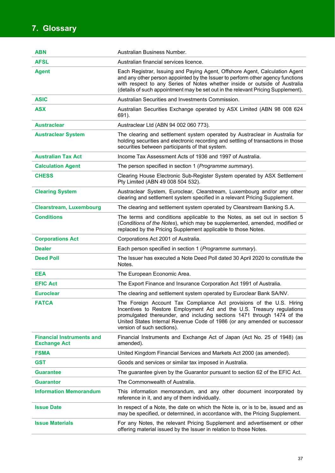# **7. Glossary**

| ABN                                                     | Australian Business Number.                                                                                                                                                                                                                                                                                                         |
|---------------------------------------------------------|-------------------------------------------------------------------------------------------------------------------------------------------------------------------------------------------------------------------------------------------------------------------------------------------------------------------------------------|
| <b>AFSL</b>                                             | Australian financial services licence.                                                                                                                                                                                                                                                                                              |
| <b>Agent</b>                                            | Each Registrar, Issuing and Paying Agent, Offshore Agent, Calculation Agent<br>and any other person appointed by the Issuer to perform other agency functions<br>with respect to any Series of Notes whether inside or outside of Australia<br>(details of such appointment may be set out in the relevant Pricing Supplement).     |
| <b>ASIC</b>                                             | Australian Securities and Investments Commission.                                                                                                                                                                                                                                                                                   |
| <b>ASX</b>                                              | Australian Securities Exchange operated by ASX Limited (ABN 98 008 624<br>691).                                                                                                                                                                                                                                                     |
| <b>Austraclear</b>                                      | Austraclear Ltd (ABN 94 002 060 773).                                                                                                                                                                                                                                                                                               |
| <b>Austraclear System</b>                               | The clearing and settlement system operated by Austraclear in Australia for<br>holding securities and electronic recording and settling of transactions in those<br>securities between participants of that system.                                                                                                                 |
| <b>Australian Tax Act</b>                               | Income Tax Assessment Acts of 1936 and 1997 of Australia.                                                                                                                                                                                                                                                                           |
| <b>Calculation Agent</b>                                | The person specified in section 1 (Programme summary).                                                                                                                                                                                                                                                                              |
| <b>CHESS</b>                                            | Clearing House Electronic Sub-Register System operated by ASX Settlement<br>Pty Limited (ABN 49 008 504 532).                                                                                                                                                                                                                       |
| <b>Clearing System</b>                                  | Austraclear System, Euroclear, Clearstream, Luxembourg and/or any other<br>clearing and settlement system specified in a relevant Pricing Supplement.                                                                                                                                                                               |
| <b>Clearstream, Luxembourg</b>                          | The clearing and settlement system operated by Clearstream Banking S.A.                                                                                                                                                                                                                                                             |
| <b>Conditions</b>                                       | The terms and conditions applicable to the Notes, as set out in section 5<br>(Conditions of the Notes), which may be supplemented, amended, modified or<br>replaced by the Pricing Supplement applicable to those Notes.                                                                                                            |
| <b>Corporations Act</b>                                 | Corporations Act 2001 of Australia.                                                                                                                                                                                                                                                                                                 |
| <b>Dealer</b>                                           | Each person specified in section 1 (Programme summary).                                                                                                                                                                                                                                                                             |
| <b>Deed Poll</b>                                        | The Issuer has executed a Note Deed Poll dated 30 April 2020 to constitute the<br>Notes.                                                                                                                                                                                                                                            |
| EEA                                                     | The European Economic Area.                                                                                                                                                                                                                                                                                                         |
| <b>EFIC Act</b>                                         | The Export Finance and Insurance Corporation Act 1991 of Australia.                                                                                                                                                                                                                                                                 |
| <b>Euroclear</b>                                        | The clearing and settlement system operated by Euroclear Bank SA/NV.                                                                                                                                                                                                                                                                |
| <b>FATCA</b>                                            | The Foreign Account Tax Compliance Act provisions of the U.S. Hiring<br>Incentives to Restore Employment Act and the U.S. Treasury regulations<br>promulgated thereunder, and including sections 1471 through 1474 of the<br>United States Internal Revenue Code of 1986 (or any amended or successor<br>version of such sections). |
| <b>Financial Instruments and</b><br><b>Exchange Act</b> | Financial Instruments and Exchange Act of Japan (Act No. 25 of 1948) (as<br>amended).                                                                                                                                                                                                                                               |
| <b>FSMA</b>                                             | United Kingdom Financial Services and Markets Act 2000 (as amended).                                                                                                                                                                                                                                                                |
| <b>GST</b>                                              | Goods and services or similar tax imposed in Australia.                                                                                                                                                                                                                                                                             |
| <b>Guarantee</b>                                        | The guarantee given by the Guarantor pursuant to section 62 of the EFIC Act.                                                                                                                                                                                                                                                        |
| <b>Guarantor</b>                                        | The Commonwealth of Australia.                                                                                                                                                                                                                                                                                                      |
| <b>Information Memorandum</b>                           | This information memorandum, and any other document incorporated by<br>reference in it, and any of them individually.                                                                                                                                                                                                               |
| <b>Issue Date</b>                                       | In respect of a Note, the date on which the Note is, or is to be, issued and as<br>may be specified, or determined, in accordance with, the Pricing Supplement.                                                                                                                                                                     |
| <b>Issue Materials</b>                                  | For any Notes, the relevant Pricing Supplement and advertisement or other<br>offering material issued by the Issuer in relation to those Notes.                                                                                                                                                                                     |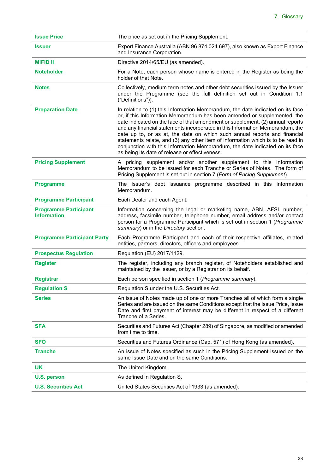| <b>Issue Price</b>                                 | The price as set out in the Pricing Supplement.                                                                                                                                                                                                                                                                                                                                                                                                                                                                                                                                                                                 |
|----------------------------------------------------|---------------------------------------------------------------------------------------------------------------------------------------------------------------------------------------------------------------------------------------------------------------------------------------------------------------------------------------------------------------------------------------------------------------------------------------------------------------------------------------------------------------------------------------------------------------------------------------------------------------------------------|
| <b>Issuer</b>                                      | Export Finance Australia (ABN 96 874 024 697), also known as Export Finance<br>and Insurance Corporation.                                                                                                                                                                                                                                                                                                                                                                                                                                                                                                                       |
| <b>MiFID II</b>                                    | Directive 2014/65/EU (as amended).                                                                                                                                                                                                                                                                                                                                                                                                                                                                                                                                                                                              |
| <b>Noteholder</b>                                  | For a Note, each person whose name is entered in the Register as being the<br>holder of that Note.                                                                                                                                                                                                                                                                                                                                                                                                                                                                                                                              |
| <b>Notes</b>                                       | Collectively, medium term notes and other debt securities issued by the Issuer<br>under the Programme (see the full definition set out in Condition 1.1<br>("Definitions")).                                                                                                                                                                                                                                                                                                                                                                                                                                                    |
| <b>Preparation Date</b>                            | In relation to (1) this Information Memorandum, the date indicated on its face<br>or, if this Information Memorandum has been amended or supplemented, the<br>date indicated on the face of that amendment or supplement, (2) annual reports<br>and any financial statements incorporated in this Information Memorandum, the<br>date up to, or as at, the date on which such annual reports and financial<br>statements relate, and (3) any other item of information which is to be read in<br>conjunction with this Information Memorandum, the date indicated on its face<br>as being its date of release or effectiveness. |
| <b>Pricing Supplement</b>                          | A pricing supplement and/or another supplement to this Information<br>Memorandum to be issued for each Tranche or Series of Notes. The form of<br>Pricing Supplement is set out in section 7 (Form of Pricing Supplement).                                                                                                                                                                                                                                                                                                                                                                                                      |
| <b>Programme</b>                                   | The Issuer's debt issuance programme described in this Information<br>Memorandum.                                                                                                                                                                                                                                                                                                                                                                                                                                                                                                                                               |
| <b>Programme Participant</b>                       | Each Dealer and each Agent.                                                                                                                                                                                                                                                                                                                                                                                                                                                                                                                                                                                                     |
| <b>Programme Participant</b><br><b>Information</b> | Information concerning the legal or marketing name, ABN, AFSL number,<br>address, facsimile number, telephone number, email address and/or contact<br>person for a Programme Participant which is set out in section 1 (Programme<br>summary) or in the Directory section.                                                                                                                                                                                                                                                                                                                                                      |
| <b>Programme Participant Party</b>                 | Each Programme Participant and each of their respective affiliates, related<br>entities, partners, directors, officers and employees.                                                                                                                                                                                                                                                                                                                                                                                                                                                                                           |
| <b>Prospectus Regulation</b>                       | Regulation (EU) 2017/1129.                                                                                                                                                                                                                                                                                                                                                                                                                                                                                                                                                                                                      |
| <b>Register</b>                                    | The register, including any branch register, of Noteholders established and<br>maintained by the Issuer, or by a Registrar on its behalf.                                                                                                                                                                                                                                                                                                                                                                                                                                                                                       |
| <b>Registrar</b>                                   | Each person specified in section 1 (Programme summary).                                                                                                                                                                                                                                                                                                                                                                                                                                                                                                                                                                         |
| <b>Regulation S</b>                                | Regulation S under the U.S. Securities Act.                                                                                                                                                                                                                                                                                                                                                                                                                                                                                                                                                                                     |
| <b>Series</b>                                      | An issue of Notes made up of one or more Tranches all of which form a single<br>Series and are issued on the same Conditions except that the Issue Price, Issue<br>Date and first payment of interest may be different in respect of a different<br>Tranche of a Series.                                                                                                                                                                                                                                                                                                                                                        |
| <b>SFA</b>                                         | Securities and Futures Act (Chapter 289) of Singapore, as modified or amended<br>from time to time.                                                                                                                                                                                                                                                                                                                                                                                                                                                                                                                             |
| <b>SFO</b>                                         | Securities and Futures Ordinance (Cap. 571) of Hong Kong (as amended).                                                                                                                                                                                                                                                                                                                                                                                                                                                                                                                                                          |
| <b>Tranche</b>                                     | An issue of Notes specified as such in the Pricing Supplement issued on the<br>same Issue Date and on the same Conditions.                                                                                                                                                                                                                                                                                                                                                                                                                                                                                                      |
| <b>UK</b>                                          | The United Kingdom.                                                                                                                                                                                                                                                                                                                                                                                                                                                                                                                                                                                                             |
| U.S. person                                        | As defined in Regulation S.                                                                                                                                                                                                                                                                                                                                                                                                                                                                                                                                                                                                     |
| <b>U.S. Securities Act</b>                         | United States Securities Act of 1933 (as amended).                                                                                                                                                                                                                                                                                                                                                                                                                                                                                                                                                                              |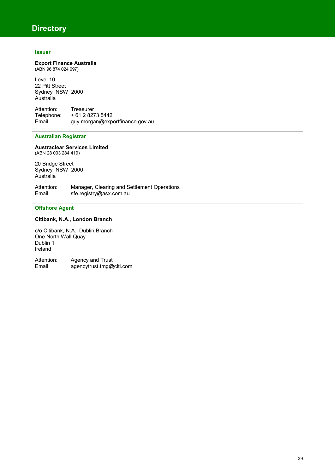## **Directory**

## **Issuer**

#### **Export Finance Australia**  (ABN 96 874 024 697)

Level 10 22 Pitt Street Sydney NSW 2000 Australia

Attention: Treasurer<br>Telephone: +61 2 827 Telephone:  $+61282735442$ <br>Email:  $auv.moraan@exb$ guy.morgan@exportfinance.gov.au

## **Australian Registrar**

#### **Austraclear Services Limited** (ABN 28 003 284 419)

20 Bridge Street Sydney NSW 2000 Australia

Attention: Manager, Clearing and Settlement Operations Email: sfe.registry@asx.com.au

## **Offshore Agent**

## **Citibank, N.A., London Branch**

c/o Citibank, N.A., Dublin Branch One North Wall Quay Dublin 1 Ireland

Attention: Agency and Trust Email: agencytrust.tmg@citi.com